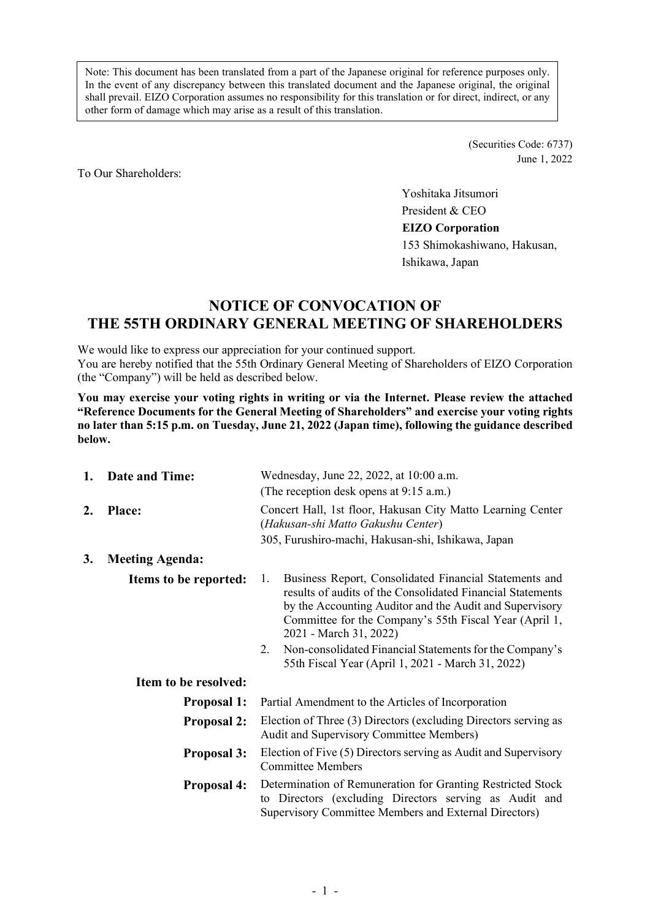Note: This document has been translated from a part of the Japanese original for reference purposes only. In the event of any discrepancy between this translated document and the Japanese original, the original shall prevail. EIZO Corporation assumes no responsibility for this translation or for direct, indirect, or any other form of damage which may arise as a result of this translation.

> (Securities Code: 6737) June 1, 2022

To Our Shareholders:

Yoshitaka Jitsumori President & CEO **EIZO Corporation**  153 Shimokashiwano, Hakusan, Ishikawa, Japan

# **NOTICE OF CONVOCATION OF THE 55TH ORDINARY GENERAL MEETING OF SHAREHOLDERS**

We would like to express our appreciation for your continued support. You are hereby notified that the 55th Ordinary General Meeting of Shareholders of EIZO Corporation (the "Company") will be held as described below.

**You may exercise your voting rights in writing or via the Internet. Please review the attached "Reference Documents for the General Meeting of Shareholders" and exercise your voting rights no later than 5:15 p.m. on Tuesday, June 21, 2022 (Japan time), following the guidance described below.** 

| 1. | <b>Date and Time:</b>  | Wednesday, June 22, 2022, at 10:00 a.m.                                                                                                                                                                                                                                                                                                                                                         |  |  |
|----|------------------------|-------------------------------------------------------------------------------------------------------------------------------------------------------------------------------------------------------------------------------------------------------------------------------------------------------------------------------------------------------------------------------------------------|--|--|
|    |                        | (The reception desk opens at 9:15 a.m.)                                                                                                                                                                                                                                                                                                                                                         |  |  |
| 2. | <b>Place:</b>          | Concert Hall, 1st floor, Hakusan City Matto Learning Center<br>(Hakusan-shi Matto Gakushu Center)                                                                                                                                                                                                                                                                                               |  |  |
|    |                        | 305, Furushiro-machi, Hakusan-shi, Ishikawa, Japan                                                                                                                                                                                                                                                                                                                                              |  |  |
| 3. | <b>Meeting Agenda:</b> |                                                                                                                                                                                                                                                                                                                                                                                                 |  |  |
|    | Items to be reported:  | Business Report, Consolidated Financial Statements and<br>1.<br>results of audits of the Consolidated Financial Statements<br>by the Accounting Auditor and the Audit and Supervisory<br>Committee for the Company's 55th Fiscal Year (April 1,<br>2021 - March 31, 2022)<br>Non-consolidated Financial Statements for the Company's<br>2.<br>55th Fiscal Year (April 1, 2021 - March 31, 2022) |  |  |
|    | Item to be resolved:   |                                                                                                                                                                                                                                                                                                                                                                                                 |  |  |
|    | <b>Proposal 1:</b>     | Partial Amendment to the Articles of Incorporation                                                                                                                                                                                                                                                                                                                                              |  |  |
|    | <b>Proposal 2:</b>     | Election of Three (3) Directors (excluding Directors serving as<br>Audit and Supervisory Committee Members)                                                                                                                                                                                                                                                                                     |  |  |
|    | <b>Proposal 3:</b>     | Election of Five (5) Directors serving as Audit and Supervisory<br><b>Committee Members</b>                                                                                                                                                                                                                                                                                                     |  |  |
|    | <b>Proposal 4:</b>     | Determination of Remuneration for Granting Restricted Stock<br>to Directors (excluding Directors serving as Audit and<br>Supervisory Committee Members and External Directors)                                                                                                                                                                                                                  |  |  |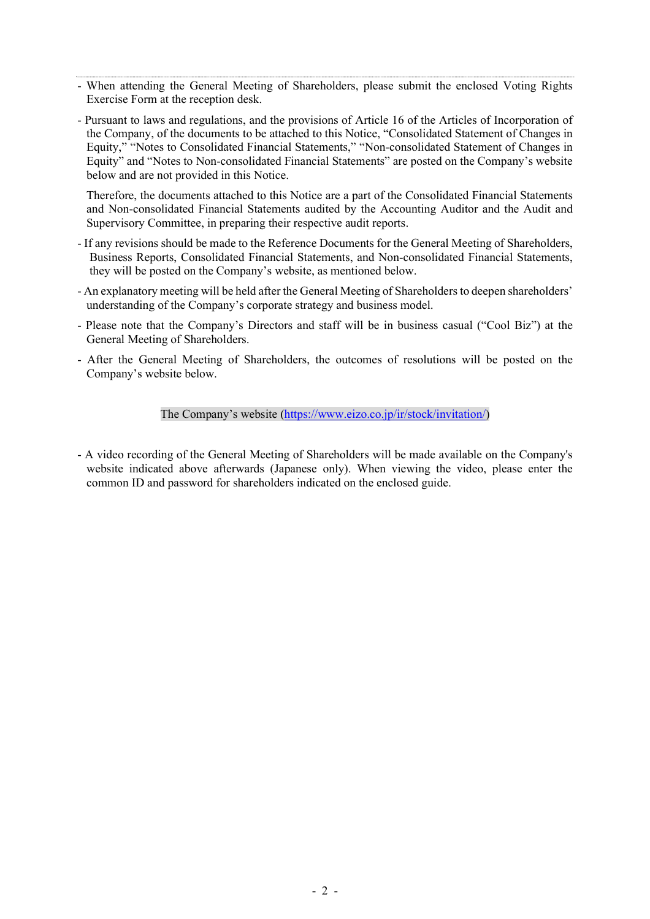- When attending the General Meeting of Shareholders, please submit the enclosed Voting Rights Exercise Form at the reception desk.
- Pursuant to laws and regulations, and the provisions of Article 16 of the Articles of Incorporation of the Company, of the documents to be attached to this Notice, "Consolidated Statement of Changes in Equity," "Notes to Consolidated Financial Statements," "Non-consolidated Statement of Changes in Equity" and "Notes to Non-consolidated Financial Statements" are posted on the Company's website below and are not provided in this Notice.

Therefore, the documents attached to this Notice are a part of the Consolidated Financial Statements and Non-consolidated Financial Statements audited by the Accounting Auditor and the Audit and Supervisory Committee, in preparing their respective audit reports.

- If any revisions should be made to the Reference Documents for the General Meeting of Shareholders, Business Reports, Consolidated Financial Statements, and Non-consolidated Financial Statements, they will be posted on the Company's website, as mentioned below.
- An explanatory meeting will be held after the General Meeting of Shareholders to deepen shareholders' understanding of the Company's corporate strategy and business model.
- Please note that the Company's Directors and staff will be in business casual ("Cool Biz") at the General Meeting of Shareholders.
- After the General Meeting of Shareholders, the outcomes of resolutions will be posted on the Company's website below.

The Company's website (https://www.eizo.co.jp/ir/stock/invitation/)

- A video recording of the General Meeting of Shareholders will be made available on the Company's website indicated above afterwards (Japanese only). When viewing the video, please enter the common ID and password for shareholders indicated on the enclosed guide.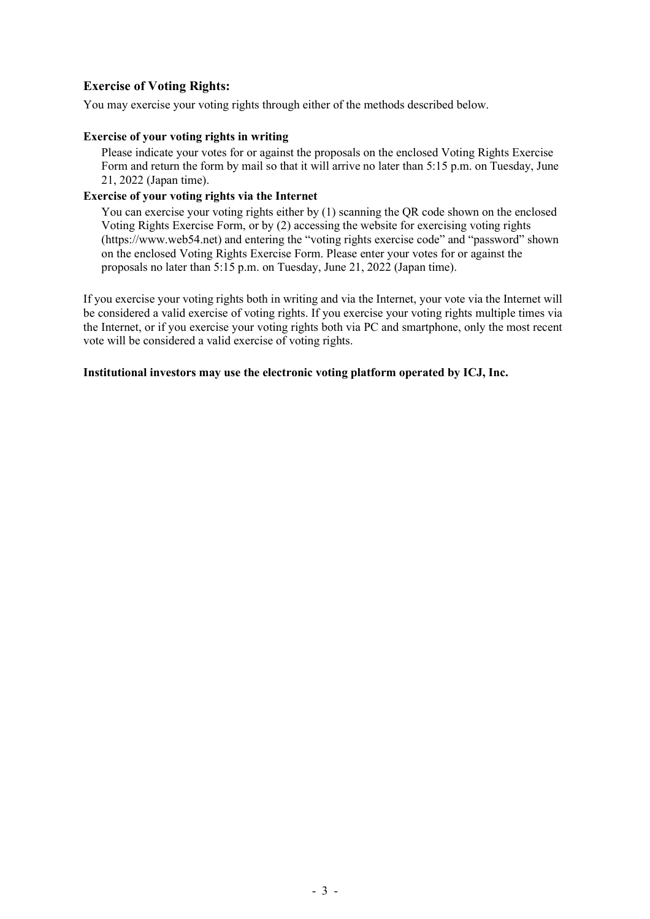### **Exercise of Voting Rights:**

You may exercise your voting rights through either of the methods described below.

### **Exercise of your voting rights in writing**

Please indicate your votes for or against the proposals on the enclosed Voting Rights Exercise Form and return the form by mail so that it will arrive no later than 5:15 p.m. on Tuesday, June 21, 2022 (Japan time).

### **Exercise of your voting rights via the Internet**

You can exercise your voting rights either by (1) scanning the QR code shown on the enclosed Voting Rights Exercise Form, or by (2) accessing the website for exercising voting rights (https://www.web54.net) and entering the "voting rights exercise code" and "password" shown on the enclosed Voting Rights Exercise Form. Please enter your votes for or against the proposals no later than 5:15 p.m. on Tuesday, June 21, 2022 (Japan time).

If you exercise your voting rights both in writing and via the Internet, your vote via the Internet will be considered a valid exercise of voting rights. If you exercise your voting rights multiple times via the Internet, or if you exercise your voting rights both via PC and smartphone, only the most recent vote will be considered a valid exercise of voting rights.

#### **Institutional investors may use the electronic voting platform operated by ICJ, Inc.**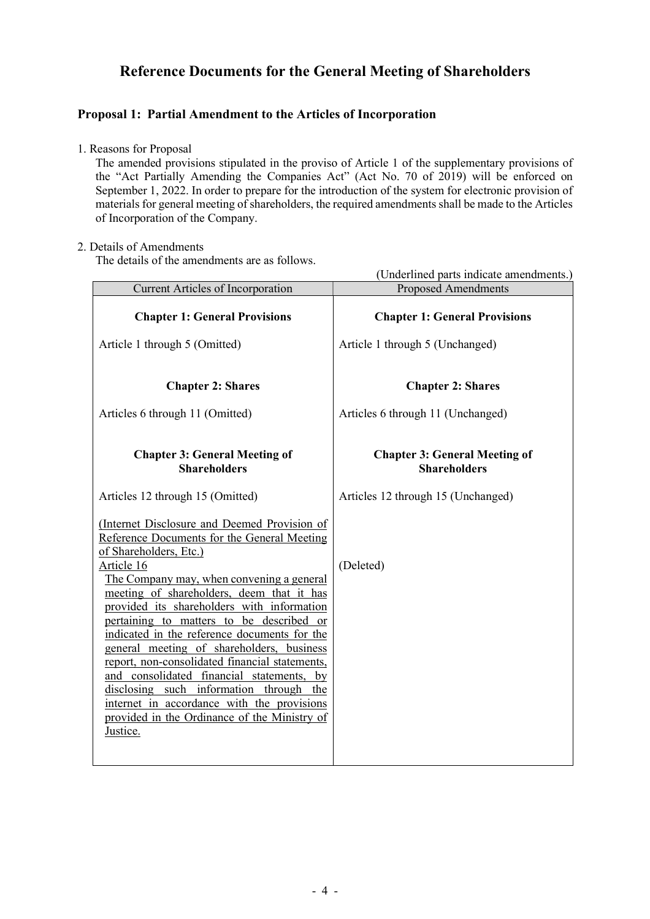# **Reference Documents for the General Meeting of Shareholders**

## **Proposal 1: Partial Amendment to the Articles of Incorporation**

1. Reasons for Proposal

The amended provisions stipulated in the proviso of Article 1 of the supplementary provisions of the "Act Partially Amending the Companies Act" (Act No. 70 of 2019) will be enforced on September 1, 2022. In order to prepare for the introduction of the system for electronic provision of materials for general meeting of shareholders, the required amendments shall be made to the Articles of Incorporation of the Company.

### 2. Details of Amendments

The details of the amendments are as follows.

| The details of the amendments are as follows.                                                                                                                                                                                                                                                                                                                                                                                                                                                                                                                                                                                                                            | (Underlined parts indicate amendments.)                     |
|--------------------------------------------------------------------------------------------------------------------------------------------------------------------------------------------------------------------------------------------------------------------------------------------------------------------------------------------------------------------------------------------------------------------------------------------------------------------------------------------------------------------------------------------------------------------------------------------------------------------------------------------------------------------------|-------------------------------------------------------------|
| <b>Current Articles of Incorporation</b>                                                                                                                                                                                                                                                                                                                                                                                                                                                                                                                                                                                                                                 | <b>Proposed Amendments</b>                                  |
| <b>Chapter 1: General Provisions</b>                                                                                                                                                                                                                                                                                                                                                                                                                                                                                                                                                                                                                                     | <b>Chapter 1: General Provisions</b>                        |
| Article 1 through 5 (Omitted)                                                                                                                                                                                                                                                                                                                                                                                                                                                                                                                                                                                                                                            | Article 1 through 5 (Unchanged)                             |
| <b>Chapter 2: Shares</b>                                                                                                                                                                                                                                                                                                                                                                                                                                                                                                                                                                                                                                                 | <b>Chapter 2: Shares</b>                                    |
| Articles 6 through 11 (Omitted)                                                                                                                                                                                                                                                                                                                                                                                                                                                                                                                                                                                                                                          | Articles 6 through 11 (Unchanged)                           |
| <b>Chapter 3: General Meeting of</b><br><b>Shareholders</b>                                                                                                                                                                                                                                                                                                                                                                                                                                                                                                                                                                                                              | <b>Chapter 3: General Meeting of</b><br><b>Shareholders</b> |
| Articles 12 through 15 (Omitted)                                                                                                                                                                                                                                                                                                                                                                                                                                                                                                                                                                                                                                         | Articles 12 through 15 (Unchanged)                          |
| (Internet Disclosure and Deemed Provision of<br>Reference Documents for the General Meeting<br>of Shareholders, Etc.)<br>Article 16<br>The Company may, when convening a general<br>meeting of shareholders, deem that it has<br>provided its shareholders with information<br>pertaining to matters to be described or<br>indicated in the reference documents for the<br>general meeting of shareholders, business<br>report, non-consolidated financial statements,<br>and consolidated financial statements, by<br>disclosing such information through the<br>internet in accordance with the provisions<br>provided in the Ordinance of the Ministry of<br>Justice. | (Deleted)                                                   |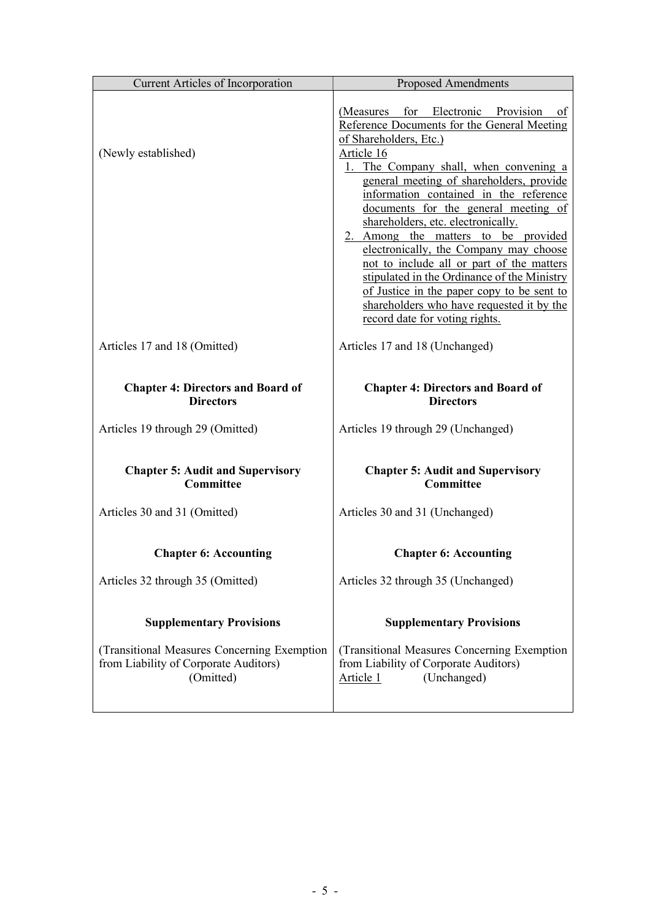| <b>Current Articles of Incorporation</b>                                                          | <b>Proposed Amendments</b>                                                                                                                                                                                                                                                                                                                                                                                                                                                                                                                                                                                                                                 |
|---------------------------------------------------------------------------------------------------|------------------------------------------------------------------------------------------------------------------------------------------------------------------------------------------------------------------------------------------------------------------------------------------------------------------------------------------------------------------------------------------------------------------------------------------------------------------------------------------------------------------------------------------------------------------------------------------------------------------------------------------------------------|
| (Newly established)                                                                               | for Electronic Provision<br>(Measures<br>0ſ<br>Reference Documents for the General Meeting<br>of Shareholders, Etc.)<br>Article 16<br>1. The Company shall, when convening a<br>general meeting of shareholders, provide<br>information contained in the reference<br>documents for the general meeting of<br>shareholders, etc. electronically.<br>2. Among the matters to be provided<br>electronically, the Company may choose<br>not to include all or part of the matters<br>stipulated in the Ordinance of the Ministry<br>of Justice in the paper copy to be sent to<br>shareholders who have requested it by the<br>record date for voting rights. |
| Articles 17 and 18 (Omitted)                                                                      | Articles 17 and 18 (Unchanged)                                                                                                                                                                                                                                                                                                                                                                                                                                                                                                                                                                                                                             |
| <b>Chapter 4: Directors and Board of</b><br><b>Directors</b>                                      | <b>Chapter 4: Directors and Board of</b><br><b>Directors</b>                                                                                                                                                                                                                                                                                                                                                                                                                                                                                                                                                                                               |
| Articles 19 through 29 (Omitted)                                                                  | Articles 19 through 29 (Unchanged)                                                                                                                                                                                                                                                                                                                                                                                                                                                                                                                                                                                                                         |
| <b>Chapter 5: Audit and Supervisory</b><br>Committee                                              | <b>Chapter 5: Audit and Supervisory</b><br>Committee                                                                                                                                                                                                                                                                                                                                                                                                                                                                                                                                                                                                       |
| Articles 30 and 31 (Omitted)                                                                      | Articles 30 and 31 (Unchanged)                                                                                                                                                                                                                                                                                                                                                                                                                                                                                                                                                                                                                             |
| <b>Chapter 6: Accounting</b>                                                                      | <b>Chapter 6: Accounting</b>                                                                                                                                                                                                                                                                                                                                                                                                                                                                                                                                                                                                                               |
| Articles 32 through 35 (Omitted)                                                                  | Articles 32 through 35 (Unchanged)                                                                                                                                                                                                                                                                                                                                                                                                                                                                                                                                                                                                                         |
| <b>Supplementary Provisions</b>                                                                   | <b>Supplementary Provisions</b>                                                                                                                                                                                                                                                                                                                                                                                                                                                                                                                                                                                                                            |
| (Transitional Measures Concerning Exemption<br>from Liability of Corporate Auditors)<br>(Omitted) | (Transitional Measures Concerning Exemption<br>from Liability of Corporate Auditors)<br>(Unchanged)<br>Article 1                                                                                                                                                                                                                                                                                                                                                                                                                                                                                                                                           |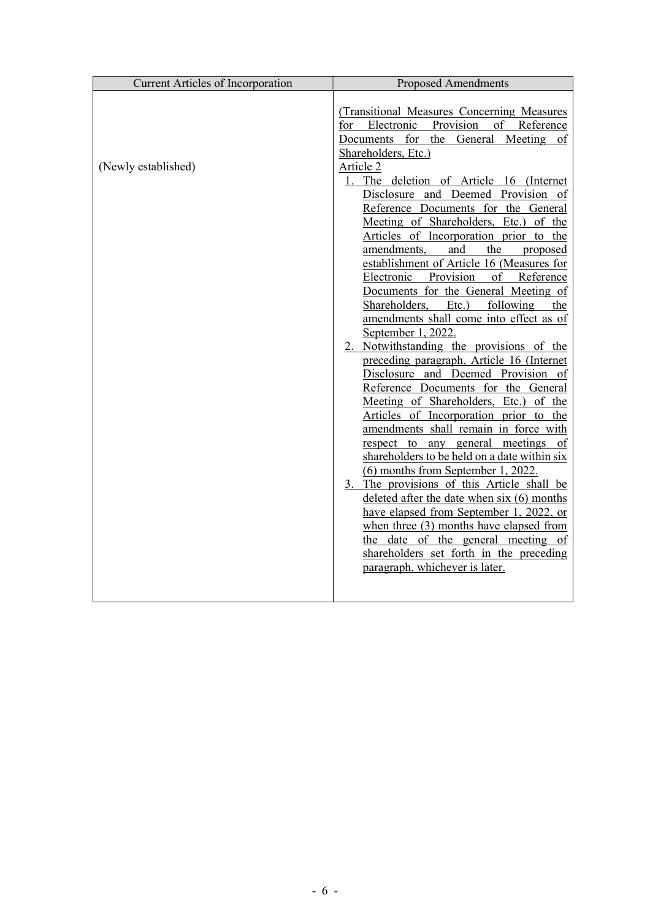| <b>Current Articles of Incorporation</b> | <b>Proposed Amendments</b>                                                                                                                                                                                                                                                                                                                                                                                                                                                                                                                                                                                                                                                                                                                                                                                                                                                                                                                                                                                                                                                                                                                                                                                                                                                                                                                                                                      |
|------------------------------------------|-------------------------------------------------------------------------------------------------------------------------------------------------------------------------------------------------------------------------------------------------------------------------------------------------------------------------------------------------------------------------------------------------------------------------------------------------------------------------------------------------------------------------------------------------------------------------------------------------------------------------------------------------------------------------------------------------------------------------------------------------------------------------------------------------------------------------------------------------------------------------------------------------------------------------------------------------------------------------------------------------------------------------------------------------------------------------------------------------------------------------------------------------------------------------------------------------------------------------------------------------------------------------------------------------------------------------------------------------------------------------------------------------|
| (Newly established)                      | (Transitional Measures Concerning Measures<br>for Electronic<br>Provision<br>of Reference<br>Documents for the General Meeting<br>of<br>Shareholders, Etc.)<br>Article 2<br>1. The deletion of Article 16 (Internet<br>Disclosure and Deemed Provision of<br>Reference Documents for the General<br>Meeting of Shareholders, Etc.) of the<br>Articles of Incorporation prior to the<br>the proposed<br>amendments,<br>and<br>establishment of Article 16 (Measures for<br>Electronic Provision of Reference<br>Documents for the General Meeting of<br>Shareholders, Etc.) following the<br>amendments shall come into effect as of<br>September 1, 2022.<br>2. Notwithstanding the provisions of the<br>preceding paragraph, Article 16 (Internet<br>Disclosure and Deemed Provision of<br>Reference Documents for the General<br>Meeting of Shareholders, Etc.) of the<br>Articles of Incorporation prior to the<br>amendments shall remain in force with<br>respect to any general meetings of<br>shareholders to be held on a date within six<br>(6) months from September 1, 2022.<br>3. The provisions of this Article shall be<br>deleted after the date when $six(6)$ months<br>have elapsed from September 1, 2022, or<br>when three $(3)$ months have elapsed from<br>the date of the general meeting of<br>shareholders set forth in the preceding<br>paragraph, whichever is later. |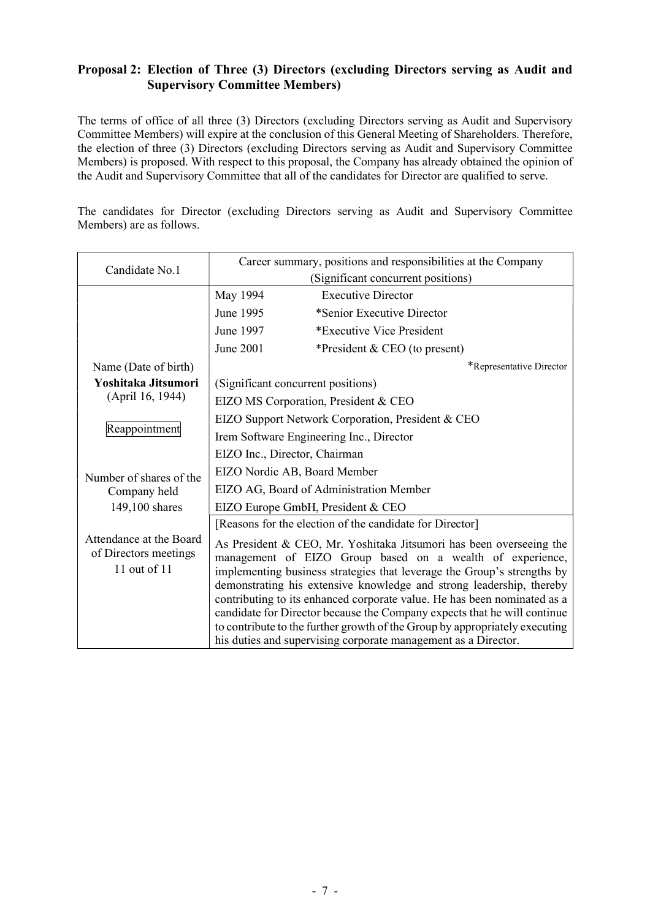## **Proposal 2: Election of Three (3) Directors (excluding Directors serving as Audit and Supervisory Committee Members)**

The terms of office of all three (3) Directors (excluding Directors serving as Audit and Supervisory Committee Members) will expire at the conclusion of this General Meeting of Shareholders. Therefore, the election of three (3) Directors (excluding Directors serving as Audit and Supervisory Committee Members) is proposed. With respect to this proposal, the Company has already obtained the opinion of the Audit and Supervisory Committee that all of the candidates for Director are qualified to serve.

The candidates for Director (excluding Directors serving as Audit and Supervisory Committee Members) are as follows.

| Candidate No.1                                                   | Career summary, positions and responsibilities at the Company |                                                                                                                                                                                                                                                                                                                                                                                                                                                                                                                                                                                              |  |
|------------------------------------------------------------------|---------------------------------------------------------------|----------------------------------------------------------------------------------------------------------------------------------------------------------------------------------------------------------------------------------------------------------------------------------------------------------------------------------------------------------------------------------------------------------------------------------------------------------------------------------------------------------------------------------------------------------------------------------------------|--|
|                                                                  |                                                               | (Significant concurrent positions)                                                                                                                                                                                                                                                                                                                                                                                                                                                                                                                                                           |  |
|                                                                  | May 1994                                                      | <b>Executive Director</b>                                                                                                                                                                                                                                                                                                                                                                                                                                                                                                                                                                    |  |
|                                                                  | June 1995                                                     | *Senior Executive Director                                                                                                                                                                                                                                                                                                                                                                                                                                                                                                                                                                   |  |
|                                                                  | June 1997                                                     | *Executive Vice President                                                                                                                                                                                                                                                                                                                                                                                                                                                                                                                                                                    |  |
|                                                                  | June 2001                                                     | *President & CEO (to present)                                                                                                                                                                                                                                                                                                                                                                                                                                                                                                                                                                |  |
| Name (Date of birth)                                             |                                                               | *Representative Director                                                                                                                                                                                                                                                                                                                                                                                                                                                                                                                                                                     |  |
| Yoshitaka Jitsumori                                              |                                                               | (Significant concurrent positions)                                                                                                                                                                                                                                                                                                                                                                                                                                                                                                                                                           |  |
| (April 16, 1944)                                                 | EIZO MS Corporation, President & CEO                          |                                                                                                                                                                                                                                                                                                                                                                                                                                                                                                                                                                                              |  |
|                                                                  | EIZO Support Network Corporation, President & CEO             |                                                                                                                                                                                                                                                                                                                                                                                                                                                                                                                                                                                              |  |
| Reappointment                                                    | Irem Software Engineering Inc., Director                      |                                                                                                                                                                                                                                                                                                                                                                                                                                                                                                                                                                                              |  |
|                                                                  | EIZO Inc., Director, Chairman                                 |                                                                                                                                                                                                                                                                                                                                                                                                                                                                                                                                                                                              |  |
| Number of shares of the                                          | EIZO Nordic AB, Board Member                                  |                                                                                                                                                                                                                                                                                                                                                                                                                                                                                                                                                                                              |  |
| Company held                                                     | EIZO AG, Board of Administration Member                       |                                                                                                                                                                                                                                                                                                                                                                                                                                                                                                                                                                                              |  |
| 149,100 shares                                                   | EIZO Europe GmbH, President & CEO                             |                                                                                                                                                                                                                                                                                                                                                                                                                                                                                                                                                                                              |  |
|                                                                  |                                                               | [Reasons for the election of the candidate for Director]                                                                                                                                                                                                                                                                                                                                                                                                                                                                                                                                     |  |
| Attendance at the Board<br>of Directors meetings<br>11 out of 11 |                                                               | As President & CEO, Mr. Yoshitaka Jitsumori has been overseeing the<br>management of EIZO Group based on a wealth of experience,<br>implementing business strategies that leverage the Group's strengths by<br>demonstrating his extensive knowledge and strong leadership, thereby<br>contributing to its enhanced corporate value. He has been nominated as a<br>candidate for Director because the Company expects that he will continue<br>to contribute to the further growth of the Group by appropriately executing<br>his duties and supervising corporate management as a Director. |  |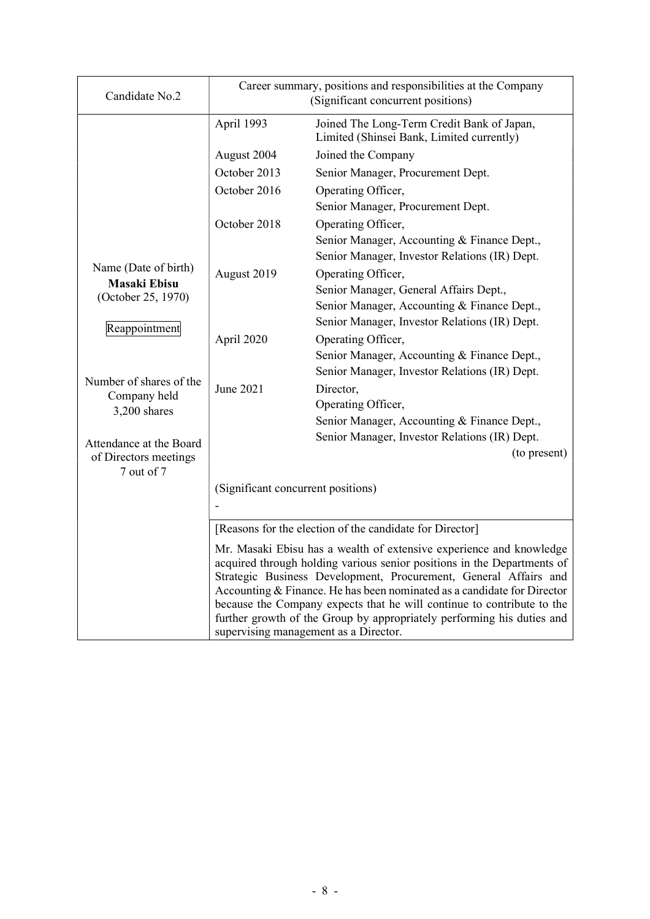| Candidate No.2                            | Career summary, positions and responsibilities at the Company<br>(Significant concurrent positions) |                                                                                                                                                                                                                                                                                                                                                                                                                                                                                            |  |  |
|-------------------------------------------|-----------------------------------------------------------------------------------------------------|--------------------------------------------------------------------------------------------------------------------------------------------------------------------------------------------------------------------------------------------------------------------------------------------------------------------------------------------------------------------------------------------------------------------------------------------------------------------------------------------|--|--|
|                                           | April 1993                                                                                          | Joined The Long-Term Credit Bank of Japan,<br>Limited (Shinsei Bank, Limited currently)                                                                                                                                                                                                                                                                                                                                                                                                    |  |  |
|                                           | August 2004                                                                                         | Joined the Company                                                                                                                                                                                                                                                                                                                                                                                                                                                                         |  |  |
|                                           | October 2013                                                                                        | Senior Manager, Procurement Dept.                                                                                                                                                                                                                                                                                                                                                                                                                                                          |  |  |
|                                           | October 2016                                                                                        | Operating Officer,                                                                                                                                                                                                                                                                                                                                                                                                                                                                         |  |  |
|                                           |                                                                                                     | Senior Manager, Procurement Dept.                                                                                                                                                                                                                                                                                                                                                                                                                                                          |  |  |
|                                           | October 2018                                                                                        | Operating Officer,                                                                                                                                                                                                                                                                                                                                                                                                                                                                         |  |  |
|                                           |                                                                                                     | Senior Manager, Accounting & Finance Dept.,                                                                                                                                                                                                                                                                                                                                                                                                                                                |  |  |
|                                           |                                                                                                     | Senior Manager, Investor Relations (IR) Dept.                                                                                                                                                                                                                                                                                                                                                                                                                                              |  |  |
| Name (Date of birth)                      | August 2019                                                                                         | Operating Officer,                                                                                                                                                                                                                                                                                                                                                                                                                                                                         |  |  |
| <b>Masaki Ebisu</b><br>(October 25, 1970) |                                                                                                     | Senior Manager, General Affairs Dept.,                                                                                                                                                                                                                                                                                                                                                                                                                                                     |  |  |
|                                           |                                                                                                     | Senior Manager, Accounting & Finance Dept.,                                                                                                                                                                                                                                                                                                                                                                                                                                                |  |  |
| Reappointment                             |                                                                                                     | Senior Manager, Investor Relations (IR) Dept.                                                                                                                                                                                                                                                                                                                                                                                                                                              |  |  |
|                                           | April 2020                                                                                          | Operating Officer,                                                                                                                                                                                                                                                                                                                                                                                                                                                                         |  |  |
|                                           |                                                                                                     | Senior Manager, Accounting & Finance Dept.,                                                                                                                                                                                                                                                                                                                                                                                                                                                |  |  |
| Number of shares of the                   |                                                                                                     | Senior Manager, Investor Relations (IR) Dept.                                                                                                                                                                                                                                                                                                                                                                                                                                              |  |  |
| Company held                              | June 2021                                                                                           | Director,                                                                                                                                                                                                                                                                                                                                                                                                                                                                                  |  |  |
| 3,200 shares                              |                                                                                                     | Operating Officer,                                                                                                                                                                                                                                                                                                                                                                                                                                                                         |  |  |
|                                           |                                                                                                     | Senior Manager, Accounting & Finance Dept.,                                                                                                                                                                                                                                                                                                                                                                                                                                                |  |  |
| Attendance at the Board                   |                                                                                                     | Senior Manager, Investor Relations (IR) Dept.                                                                                                                                                                                                                                                                                                                                                                                                                                              |  |  |
| of Directors meetings<br>7 out of 7       |                                                                                                     | (to present)                                                                                                                                                                                                                                                                                                                                                                                                                                                                               |  |  |
|                                           | (Significant concurrent positions)                                                                  |                                                                                                                                                                                                                                                                                                                                                                                                                                                                                            |  |  |
|                                           |                                                                                                     |                                                                                                                                                                                                                                                                                                                                                                                                                                                                                            |  |  |
|                                           |                                                                                                     | [Reasons for the election of the candidate for Director]                                                                                                                                                                                                                                                                                                                                                                                                                                   |  |  |
|                                           |                                                                                                     | Mr. Masaki Ebisu has a wealth of extensive experience and knowledge<br>acquired through holding various senior positions in the Departments of<br>Strategic Business Development, Procurement, General Affairs and<br>Accounting & Finance. He has been nominated as a candidate for Director<br>because the Company expects that he will continue to contribute to the<br>further growth of the Group by appropriately performing his duties and<br>supervising management as a Director. |  |  |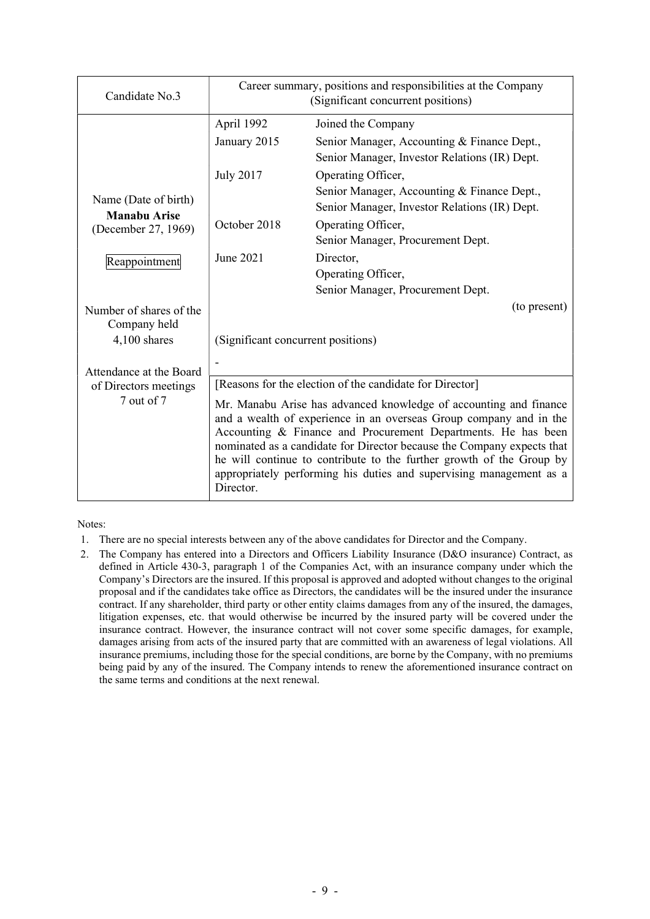| Candidate No.3                              | Career summary, positions and responsibilities at the Company<br>(Significant concurrent positions)                                                                                                                                                                                                                                                                                                                                            |                                                                                              |  |
|---------------------------------------------|------------------------------------------------------------------------------------------------------------------------------------------------------------------------------------------------------------------------------------------------------------------------------------------------------------------------------------------------------------------------------------------------------------------------------------------------|----------------------------------------------------------------------------------------------|--|
|                                             | April 1992                                                                                                                                                                                                                                                                                                                                                                                                                                     | Joined the Company                                                                           |  |
|                                             | January 2015                                                                                                                                                                                                                                                                                                                                                                                                                                   | Senior Manager, Accounting & Finance Dept.,<br>Senior Manager, Investor Relations (IR) Dept. |  |
|                                             | <b>July 2017</b>                                                                                                                                                                                                                                                                                                                                                                                                                               | Operating Officer,                                                                           |  |
| Name (Date of birth)<br><b>Manabu Arise</b> |                                                                                                                                                                                                                                                                                                                                                                                                                                                | Senior Manager, Accounting & Finance Dept.,<br>Senior Manager, Investor Relations (IR) Dept. |  |
| (December 27, 1969)                         | October 2018                                                                                                                                                                                                                                                                                                                                                                                                                                   | Operating Officer,<br>Senior Manager, Procurement Dept.                                      |  |
| Reappointment                               | June 2021                                                                                                                                                                                                                                                                                                                                                                                                                                      | Director,                                                                                    |  |
|                                             |                                                                                                                                                                                                                                                                                                                                                                                                                                                | Operating Officer,                                                                           |  |
|                                             |                                                                                                                                                                                                                                                                                                                                                                                                                                                | Senior Manager, Procurement Dept.                                                            |  |
| Number of shares of the<br>Company held     |                                                                                                                                                                                                                                                                                                                                                                                                                                                | (to present)                                                                                 |  |
| 4,100 shares                                | (Significant concurrent positions)                                                                                                                                                                                                                                                                                                                                                                                                             |                                                                                              |  |
| Attendance at the Board                     |                                                                                                                                                                                                                                                                                                                                                                                                                                                |                                                                                              |  |
| of Directors meetings                       | [Reasons for the election of the candidate for Director]                                                                                                                                                                                                                                                                                                                                                                                       |                                                                                              |  |
| 7 out of 7                                  | Mr. Manabu Arise has advanced knowledge of accounting and finance<br>and a wealth of experience in an overseas Group company and in the<br>Accounting & Finance and Procurement Departments. He has been<br>nominated as a candidate for Director because the Company expects that<br>he will continue to contribute to the further growth of the Group by<br>appropriately performing his duties and supervising management as a<br>Director. |                                                                                              |  |

Notes:

- 1. There are no special interests between any of the above candidates for Director and the Company.
- 2. The Company has entered into a Directors and Officers Liability Insurance (D&O insurance) Contract, as defined in Article 430-3, paragraph 1 of the Companies Act, with an insurance company under which the Company's Directors are the insured. If this proposal is approved and adopted without changes to the original proposal and if the candidates take office as Directors, the candidates will be the insured under the insurance contract. If any shareholder, third party or other entity claims damages from any of the insured, the damages, litigation expenses, etc. that would otherwise be incurred by the insured party will be covered under the insurance contract. However, the insurance contract will not cover some specific damages, for example, damages arising from acts of the insured party that are committed with an awareness of legal violations. All insurance premiums, including those for the special conditions, are borne by the Company, with no premiums being paid by any of the insured. The Company intends to renew the aforementioned insurance contract on the same terms and conditions at the next renewal.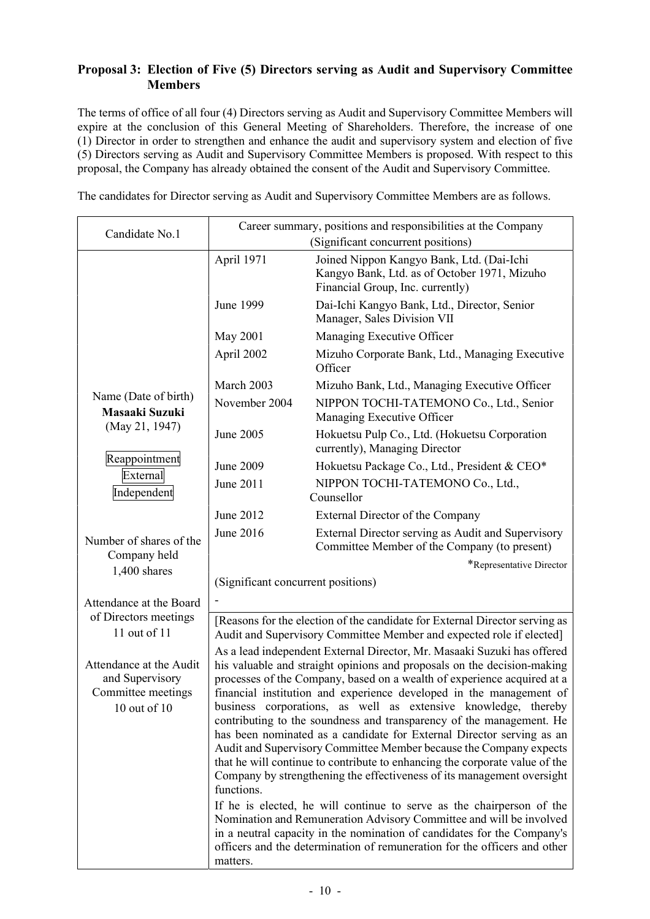## **Proposal 3: Election of Five (5) Directors serving as Audit and Supervisory Committee Members**

The terms of office of all four (4) Directors serving as Audit and Supervisory Committee Members will expire at the conclusion of this General Meeting of Shareholders. Therefore, the increase of one (1) Director in order to strengthen and enhance the audit and supervisory system and election of five (5) Directors serving as Audit and Supervisory Committee Members is proposed. With respect to this proposal, the Company has already obtained the consent of the Audit and Supervisory Committee.

The candidates for Director serving as Audit and Supervisory Committee Members are as follows.

|                                                                                                                                                                                                                                                                                                                                                                                                                                                                                                                                                                                                                                                                                                                                                                                                                                                                                                                                                                                                                                                                                                                                                                                      | (Significant concurrent positions)                                                                                                                  |
|--------------------------------------------------------------------------------------------------------------------------------------------------------------------------------------------------------------------------------------------------------------------------------------------------------------------------------------------------------------------------------------------------------------------------------------------------------------------------------------------------------------------------------------------------------------------------------------------------------------------------------------------------------------------------------------------------------------------------------------------------------------------------------------------------------------------------------------------------------------------------------------------------------------------------------------------------------------------------------------------------------------------------------------------------------------------------------------------------------------------------------------------------------------------------------------|-----------------------------------------------------------------------------------------------------------------------------------------------------|
| April 1971                                                                                                                                                                                                                                                                                                                                                                                                                                                                                                                                                                                                                                                                                                                                                                                                                                                                                                                                                                                                                                                                                                                                                                           | Joined Nippon Kangyo Bank, Ltd. (Dai-Ichi<br>Kangyo Bank, Ltd. as of October 1971, Mizuho<br>Financial Group, Inc. currently)                       |
| June 1999                                                                                                                                                                                                                                                                                                                                                                                                                                                                                                                                                                                                                                                                                                                                                                                                                                                                                                                                                                                                                                                                                                                                                                            | Dai-Ichi Kangyo Bank, Ltd., Director, Senior<br>Manager, Sales Division VII                                                                         |
| May 2001                                                                                                                                                                                                                                                                                                                                                                                                                                                                                                                                                                                                                                                                                                                                                                                                                                                                                                                                                                                                                                                                                                                                                                             | Managing Executive Officer                                                                                                                          |
| April 2002                                                                                                                                                                                                                                                                                                                                                                                                                                                                                                                                                                                                                                                                                                                                                                                                                                                                                                                                                                                                                                                                                                                                                                           | Mizuho Corporate Bank, Ltd., Managing Executive<br>Officer                                                                                          |
| March 2003                                                                                                                                                                                                                                                                                                                                                                                                                                                                                                                                                                                                                                                                                                                                                                                                                                                                                                                                                                                                                                                                                                                                                                           | Mizuho Bank, Ltd., Managing Executive Officer                                                                                                       |
| November 2004                                                                                                                                                                                                                                                                                                                                                                                                                                                                                                                                                                                                                                                                                                                                                                                                                                                                                                                                                                                                                                                                                                                                                                        | NIPPON TOCHI-TATEMONO Co., Ltd., Senior<br>Managing Executive Officer                                                                               |
| June 2005                                                                                                                                                                                                                                                                                                                                                                                                                                                                                                                                                                                                                                                                                                                                                                                                                                                                                                                                                                                                                                                                                                                                                                            | Hokuetsu Pulp Co., Ltd. (Hokuetsu Corporation<br>currently), Managing Director                                                                      |
| June 2009                                                                                                                                                                                                                                                                                                                                                                                                                                                                                                                                                                                                                                                                                                                                                                                                                                                                                                                                                                                                                                                                                                                                                                            | Hokuetsu Package Co., Ltd., President & CEO*                                                                                                        |
| June 2011                                                                                                                                                                                                                                                                                                                                                                                                                                                                                                                                                                                                                                                                                                                                                                                                                                                                                                                                                                                                                                                                                                                                                                            | NIPPON TOCHI-TATEMONO Co., Ltd.,                                                                                                                    |
|                                                                                                                                                                                                                                                                                                                                                                                                                                                                                                                                                                                                                                                                                                                                                                                                                                                                                                                                                                                                                                                                                                                                                                                      | Counsellor                                                                                                                                          |
|                                                                                                                                                                                                                                                                                                                                                                                                                                                                                                                                                                                                                                                                                                                                                                                                                                                                                                                                                                                                                                                                                                                                                                                      | External Director of the Company                                                                                                                    |
|                                                                                                                                                                                                                                                                                                                                                                                                                                                                                                                                                                                                                                                                                                                                                                                                                                                                                                                                                                                                                                                                                                                                                                                      | External Director serving as Audit and Supervisory<br>Committee Member of the Company (to present)                                                  |
|                                                                                                                                                                                                                                                                                                                                                                                                                                                                                                                                                                                                                                                                                                                                                                                                                                                                                                                                                                                                                                                                                                                                                                                      | *Representative Director                                                                                                                            |
| (Significant concurrent positions)                                                                                                                                                                                                                                                                                                                                                                                                                                                                                                                                                                                                                                                                                                                                                                                                                                                                                                                                                                                                                                                                                                                                                   |                                                                                                                                                     |
|                                                                                                                                                                                                                                                                                                                                                                                                                                                                                                                                                                                                                                                                                                                                                                                                                                                                                                                                                                                                                                                                                                                                                                                      |                                                                                                                                                     |
|                                                                                                                                                                                                                                                                                                                                                                                                                                                                                                                                                                                                                                                                                                                                                                                                                                                                                                                                                                                                                                                                                                                                                                                      | [Reasons for the election of the candidate for External Director serving as<br>Audit and Supervisory Committee Member and expected role if elected] |
| 11 out of 11<br>As a lead independent External Director, Mr. Masaaki Suzuki has offered<br>Attendance at the Audit<br>his valuable and straight opinions and proposals on the decision-making<br>processes of the Company, based on a wealth of experience acquired at a<br>and Supervisory<br>Committee meetings<br>financial institution and experience developed in the management of<br>business corporations, as well as extensive knowledge, thereby<br>$10$ out of $10$<br>contributing to the soundness and transparency of the management. He<br>has been nominated as a candidate for External Director serving as an<br>Audit and Supervisory Committee Member because the Company expects<br>that he will continue to contribute to enhancing the corporate value of the<br>Company by strengthening the effectiveness of its management oversight<br>functions.<br>If he is elected, he will continue to serve as the chairperson of the<br>Nomination and Remuneration Advisory Committee and will be involved<br>in a neutral capacity in the nomination of candidates for the Company's<br>officers and the determination of remuneration for the officers and other |                                                                                                                                                     |
|                                                                                                                                                                                                                                                                                                                                                                                                                                                                                                                                                                                                                                                                                                                                                                                                                                                                                                                                                                                                                                                                                                                                                                                      | June 2012<br>June 2016<br>matters.                                                                                                                  |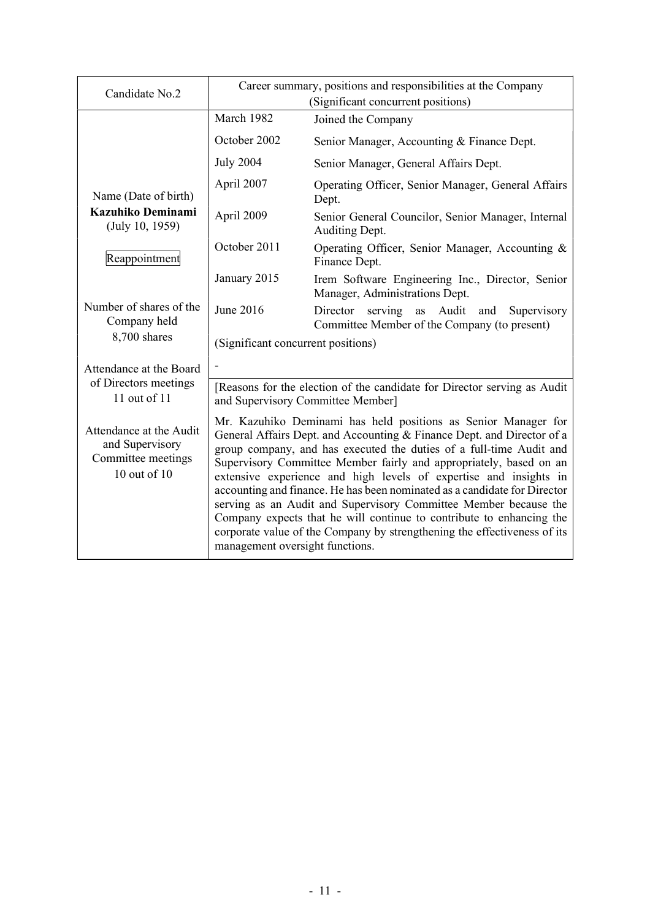| Candidate No.2                                                                   | Career summary, positions and responsibilities at the Company<br>(Significant concurrent positions)                                                                                                                                                                                                                                                                                                                                                                                                                                                                                                                                                                                                |                                                                                                    |  |
|----------------------------------------------------------------------------------|----------------------------------------------------------------------------------------------------------------------------------------------------------------------------------------------------------------------------------------------------------------------------------------------------------------------------------------------------------------------------------------------------------------------------------------------------------------------------------------------------------------------------------------------------------------------------------------------------------------------------------------------------------------------------------------------------|----------------------------------------------------------------------------------------------------|--|
|                                                                                  | March 1982                                                                                                                                                                                                                                                                                                                                                                                                                                                                                                                                                                                                                                                                                         | Joined the Company                                                                                 |  |
|                                                                                  | October 2002                                                                                                                                                                                                                                                                                                                                                                                                                                                                                                                                                                                                                                                                                       | Senior Manager, Accounting & Finance Dept.                                                         |  |
|                                                                                  | <b>July 2004</b>                                                                                                                                                                                                                                                                                                                                                                                                                                                                                                                                                                                                                                                                                   | Senior Manager, General Affairs Dept.                                                              |  |
| Name (Date of birth)                                                             | April 2007                                                                                                                                                                                                                                                                                                                                                                                                                                                                                                                                                                                                                                                                                         | Operating Officer, Senior Manager, General Affairs<br>Dept.                                        |  |
| Kazuhiko Deminami<br>(July 10, 1959)                                             | April 2009                                                                                                                                                                                                                                                                                                                                                                                                                                                                                                                                                                                                                                                                                         | Senior General Councilor, Senior Manager, Internal<br>Auditing Dept.                               |  |
| Reappointment                                                                    | October 2011                                                                                                                                                                                                                                                                                                                                                                                                                                                                                                                                                                                                                                                                                       | Operating Officer, Senior Manager, Accounting &<br>Finance Dept.                                   |  |
|                                                                                  | January 2015                                                                                                                                                                                                                                                                                                                                                                                                                                                                                                                                                                                                                                                                                       | Irem Software Engineering Inc., Director, Senior<br>Manager, Administrations Dept.                 |  |
| Number of shares of the<br>Company held                                          | June 2016                                                                                                                                                                                                                                                                                                                                                                                                                                                                                                                                                                                                                                                                                          | Director serving<br>as Audit<br>Supervisory<br>and<br>Committee Member of the Company (to present) |  |
| 8,700 shares                                                                     | (Significant concurrent positions)                                                                                                                                                                                                                                                                                                                                                                                                                                                                                                                                                                                                                                                                 |                                                                                                    |  |
| Attendance at the Board                                                          |                                                                                                                                                                                                                                                                                                                                                                                                                                                                                                                                                                                                                                                                                                    |                                                                                                    |  |
| of Directors meetings<br>11 out of 11                                            | [Reasons for the election of the candidate for Director serving as Audit<br>and Supervisory Committee Member]                                                                                                                                                                                                                                                                                                                                                                                                                                                                                                                                                                                      |                                                                                                    |  |
| Attendance at the Audit<br>and Supervisory<br>Committee meetings<br>10 out of 10 | Mr. Kazuhiko Deminami has held positions as Senior Manager for<br>General Affairs Dept. and Accounting & Finance Dept. and Director of a<br>group company, and has executed the duties of a full-time Audit and<br>Supervisory Committee Member fairly and appropriately, based on an<br>extensive experience and high levels of expertise and insights in<br>accounting and finance. He has been nominated as a candidate for Director<br>serving as an Audit and Supervisory Committee Member because the<br>Company expects that he will continue to contribute to enhancing the<br>corporate value of the Company by strengthening the effectiveness of its<br>management oversight functions. |                                                                                                    |  |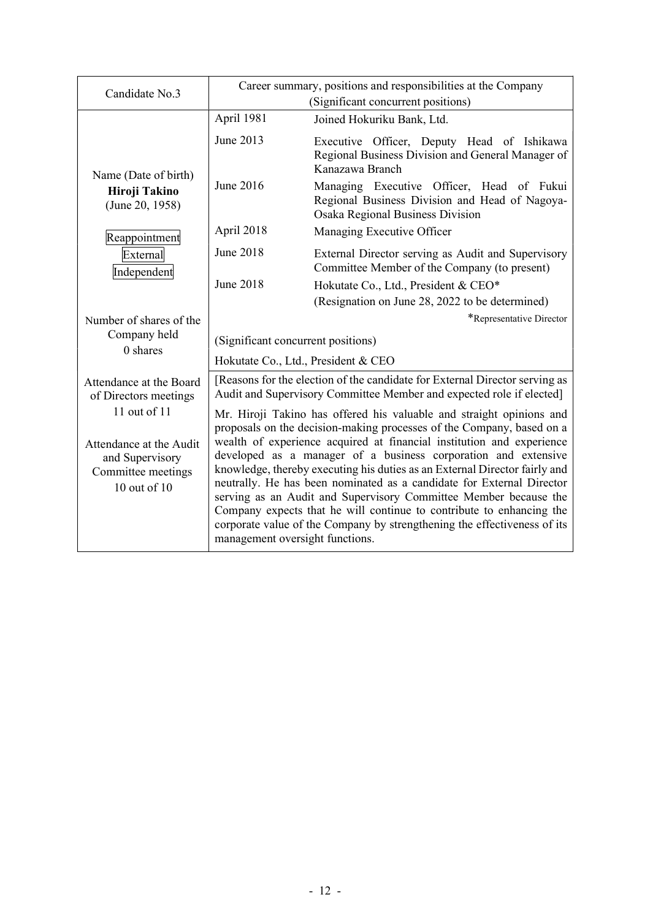| Candidate No.3                                                                                     | Career summary, positions and responsibilities at the Company<br>(Significant concurrent positions)                                                                                                                                                                                                                                                                                                                                                                                                                                                                                                                                                                                                        |                                                                                                                                                     |
|----------------------------------------------------------------------------------------------------|------------------------------------------------------------------------------------------------------------------------------------------------------------------------------------------------------------------------------------------------------------------------------------------------------------------------------------------------------------------------------------------------------------------------------------------------------------------------------------------------------------------------------------------------------------------------------------------------------------------------------------------------------------------------------------------------------------|-----------------------------------------------------------------------------------------------------------------------------------------------------|
|                                                                                                    | April 1981                                                                                                                                                                                                                                                                                                                                                                                                                                                                                                                                                                                                                                                                                                 | Joined Hokuriku Bank, Ltd.                                                                                                                          |
| Name (Date of birth)                                                                               | June 2013                                                                                                                                                                                                                                                                                                                                                                                                                                                                                                                                                                                                                                                                                                  | Executive Officer, Deputy Head of Ishikawa<br>Regional Business Division and General Manager of<br>Kanazawa Branch                                  |
| Hiroji Takino<br>(June 20, 1958)                                                                   | June 2016                                                                                                                                                                                                                                                                                                                                                                                                                                                                                                                                                                                                                                                                                                  | Managing Executive Officer, Head of Fukui<br>Regional Business Division and Head of Nagoya-<br>Osaka Regional Business Division                     |
| Reappointment                                                                                      | April 2018                                                                                                                                                                                                                                                                                                                                                                                                                                                                                                                                                                                                                                                                                                 | Managing Executive Officer                                                                                                                          |
| External<br>Independent                                                                            | June 2018                                                                                                                                                                                                                                                                                                                                                                                                                                                                                                                                                                                                                                                                                                  | External Director serving as Audit and Supervisory<br>Committee Member of the Company (to present)                                                  |
|                                                                                                    | June 2018                                                                                                                                                                                                                                                                                                                                                                                                                                                                                                                                                                                                                                                                                                  | Hokutate Co., Ltd., President & CEO*                                                                                                                |
|                                                                                                    |                                                                                                                                                                                                                                                                                                                                                                                                                                                                                                                                                                                                                                                                                                            | (Resignation on June 28, 2022 to be determined)                                                                                                     |
| Number of shares of the                                                                            |                                                                                                                                                                                                                                                                                                                                                                                                                                                                                                                                                                                                                                                                                                            | *Representative Director                                                                                                                            |
| Company held<br>$0$ shares                                                                         | (Significant concurrent positions)                                                                                                                                                                                                                                                                                                                                                                                                                                                                                                                                                                                                                                                                         |                                                                                                                                                     |
|                                                                                                    | Hokutate Co., Ltd., President & CEO                                                                                                                                                                                                                                                                                                                                                                                                                                                                                                                                                                                                                                                                        |                                                                                                                                                     |
| Attendance at the Board<br>of Directors meetings                                                   |                                                                                                                                                                                                                                                                                                                                                                                                                                                                                                                                                                                                                                                                                                            | [Reasons for the election of the candidate for External Director serving as<br>Audit and Supervisory Committee Member and expected role if elected] |
| 11 out of 11<br>Attendance at the Audit<br>and Supervisory<br>Committee meetings<br>10 out of $10$ | Mr. Hiroji Takino has offered his valuable and straight opinions and<br>proposals on the decision-making processes of the Company, based on a<br>wealth of experience acquired at financial institution and experience<br>developed as a manager of a business corporation and extensive<br>knowledge, thereby executing his duties as an External Director fairly and<br>neutrally. He has been nominated as a candidate for External Director<br>serving as an Audit and Supervisory Committee Member because the<br>Company expects that he will continue to contribute to enhancing the<br>corporate value of the Company by strengthening the effectiveness of its<br>management oversight functions. |                                                                                                                                                     |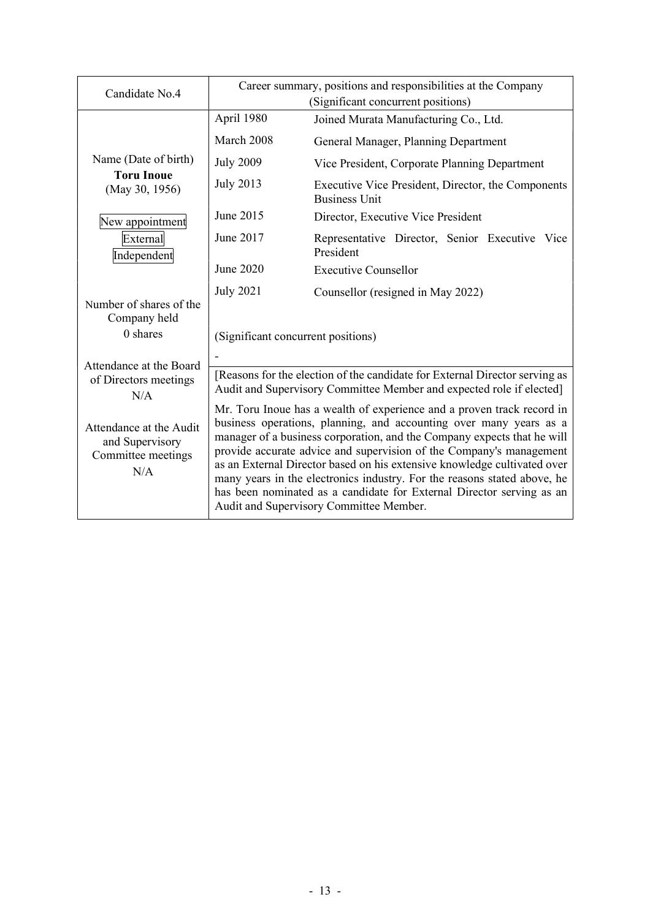| Candidate No.4                                                          | Career summary, positions and responsibilities at the Company                                                                                                                                                                                                                                                                                                                                                                                                                                                                                                              |                                                                            |  |
|-------------------------------------------------------------------------|----------------------------------------------------------------------------------------------------------------------------------------------------------------------------------------------------------------------------------------------------------------------------------------------------------------------------------------------------------------------------------------------------------------------------------------------------------------------------------------------------------------------------------------------------------------------------|----------------------------------------------------------------------------|--|
|                                                                         |                                                                                                                                                                                                                                                                                                                                                                                                                                                                                                                                                                            | (Significant concurrent positions)                                         |  |
|                                                                         | April 1980                                                                                                                                                                                                                                                                                                                                                                                                                                                                                                                                                                 | Joined Murata Manufacturing Co., Ltd.                                      |  |
|                                                                         | March 2008                                                                                                                                                                                                                                                                                                                                                                                                                                                                                                                                                                 | General Manager, Planning Department                                       |  |
| Name (Date of birth)                                                    | <b>July 2009</b>                                                                                                                                                                                                                                                                                                                                                                                                                                                                                                                                                           | Vice President, Corporate Planning Department                              |  |
| <b>Toru Inoue</b><br>(May 30, 1956)                                     | <b>July 2013</b>                                                                                                                                                                                                                                                                                                                                                                                                                                                                                                                                                           | Executive Vice President, Director, the Components<br><b>Business Unit</b> |  |
| New appointment                                                         | June 2015                                                                                                                                                                                                                                                                                                                                                                                                                                                                                                                                                                  | Director, Executive Vice President                                         |  |
| External<br>Independent                                                 | June 2017                                                                                                                                                                                                                                                                                                                                                                                                                                                                                                                                                                  | Representative Director, Senior Executive Vice<br>President                |  |
|                                                                         | June 2020                                                                                                                                                                                                                                                                                                                                                                                                                                                                                                                                                                  | <b>Executive Counsellor</b>                                                |  |
|                                                                         | <b>July 2021</b>                                                                                                                                                                                                                                                                                                                                                                                                                                                                                                                                                           | Counsellor (resigned in May 2022)                                          |  |
| Number of shares of the<br>Company held                                 |                                                                                                                                                                                                                                                                                                                                                                                                                                                                                                                                                                            |                                                                            |  |
| 0 shares                                                                | (Significant concurrent positions)                                                                                                                                                                                                                                                                                                                                                                                                                                                                                                                                         |                                                                            |  |
| Attendance at the Board                                                 |                                                                                                                                                                                                                                                                                                                                                                                                                                                                                                                                                                            |                                                                            |  |
| of Directors meetings<br>N/A                                            | [Reasons for the election of the candidate for External Director serving as<br>Audit and Supervisory Committee Member and expected role if elected]                                                                                                                                                                                                                                                                                                                                                                                                                        |                                                                            |  |
| Attendance at the Audit<br>and Supervisory<br>Committee meetings<br>N/A | Mr. Toru Inoue has a wealth of experience and a proven track record in<br>business operations, planning, and accounting over many years as a<br>manager of a business corporation, and the Company expects that he will<br>provide accurate advice and supervision of the Company's management<br>as an External Director based on his extensive knowledge cultivated over<br>many years in the electronics industry. For the reasons stated above, he<br>has been nominated as a candidate for External Director serving as an<br>Audit and Supervisory Committee Member. |                                                                            |  |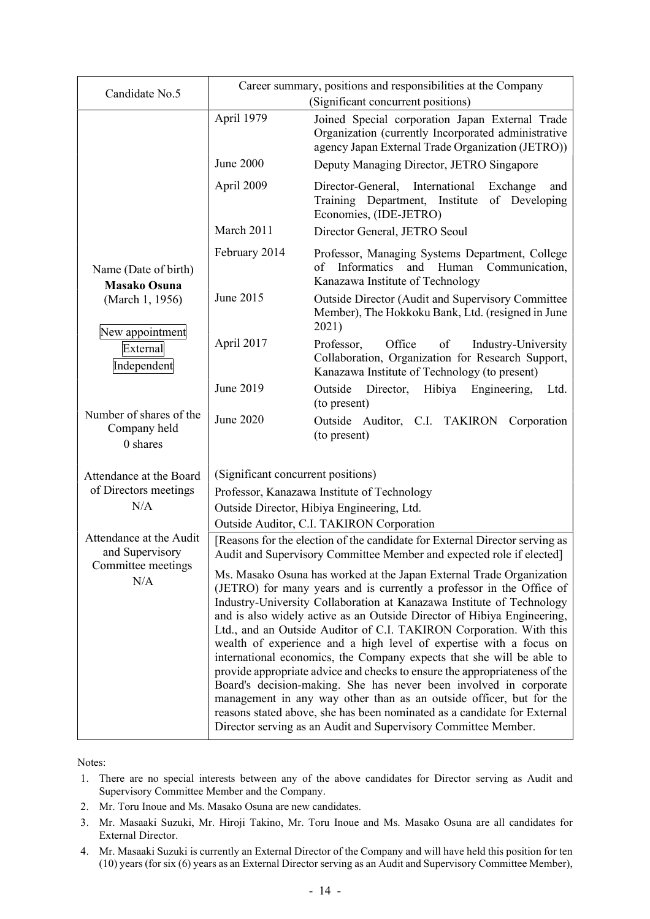| Candidate No.5                                      | Career summary, positions and responsibilities at the Company<br>(Significant concurrent positions)                                                                                                                                                                                                                                                                                                                                                                                                                                                                                                                                                                                                                                                                                                                                                                                            |                                                                                                                                                             |  |
|-----------------------------------------------------|------------------------------------------------------------------------------------------------------------------------------------------------------------------------------------------------------------------------------------------------------------------------------------------------------------------------------------------------------------------------------------------------------------------------------------------------------------------------------------------------------------------------------------------------------------------------------------------------------------------------------------------------------------------------------------------------------------------------------------------------------------------------------------------------------------------------------------------------------------------------------------------------|-------------------------------------------------------------------------------------------------------------------------------------------------------------|--|
|                                                     | April 1979                                                                                                                                                                                                                                                                                                                                                                                                                                                                                                                                                                                                                                                                                                                                                                                                                                                                                     | Joined Special corporation Japan External Trade<br>Organization (currently Incorporated administrative<br>agency Japan External Trade Organization (JETRO)) |  |
|                                                     | <b>June 2000</b>                                                                                                                                                                                                                                                                                                                                                                                                                                                                                                                                                                                                                                                                                                                                                                                                                                                                               | Deputy Managing Director, JETRO Singapore                                                                                                                   |  |
|                                                     | April 2009                                                                                                                                                                                                                                                                                                                                                                                                                                                                                                                                                                                                                                                                                                                                                                                                                                                                                     | International<br>Director-General,<br>Exchange<br>and<br>Training Department, Institute<br>of Developing<br>Economies, (IDE-JETRO)                          |  |
|                                                     | March 2011                                                                                                                                                                                                                                                                                                                                                                                                                                                                                                                                                                                                                                                                                                                                                                                                                                                                                     | Director General, JETRO Seoul                                                                                                                               |  |
| Name (Date of birth)<br><b>Masako Osuna</b>         | February 2014                                                                                                                                                                                                                                                                                                                                                                                                                                                                                                                                                                                                                                                                                                                                                                                                                                                                                  | Professor, Managing Systems Department, College<br>of<br>Informatics<br>and Human<br>Communication,<br>Kanazawa Institute of Technology                     |  |
| (March 1, 1956)                                     | June 2015                                                                                                                                                                                                                                                                                                                                                                                                                                                                                                                                                                                                                                                                                                                                                                                                                                                                                      | <b>Outside Director (Audit and Supervisory Committee</b><br>Member), The Hokkoku Bank, Ltd. (resigned in June<br>2021)                                      |  |
| New appointment<br>External<br>Independent          | April 2017                                                                                                                                                                                                                                                                                                                                                                                                                                                                                                                                                                                                                                                                                                                                                                                                                                                                                     | Professor,<br>Office<br>of<br>Industry-University<br>Collaboration, Organization for Research Support,<br>Kanazawa Institute of Technology (to present)     |  |
|                                                     | June 2019                                                                                                                                                                                                                                                                                                                                                                                                                                                                                                                                                                                                                                                                                                                                                                                                                                                                                      | Outside<br>Director,<br>Hibiya<br>Engineering,<br>Ltd.<br>(to present)                                                                                      |  |
| Number of shares of the<br>Company held<br>0 shares | June 2020                                                                                                                                                                                                                                                                                                                                                                                                                                                                                                                                                                                                                                                                                                                                                                                                                                                                                      | Outside Auditor, C.I. TAKIRON<br>Corporation<br>(to present)                                                                                                |  |
| Attendance at the Board                             | (Significant concurrent positions)                                                                                                                                                                                                                                                                                                                                                                                                                                                                                                                                                                                                                                                                                                                                                                                                                                                             |                                                                                                                                                             |  |
| of Directors meetings                               | Professor, Kanazawa Institute of Technology                                                                                                                                                                                                                                                                                                                                                                                                                                                                                                                                                                                                                                                                                                                                                                                                                                                    |                                                                                                                                                             |  |
| N/A                                                 | Outside Director, Hibiya Engineering, Ltd.                                                                                                                                                                                                                                                                                                                                                                                                                                                                                                                                                                                                                                                                                                                                                                                                                                                     |                                                                                                                                                             |  |
| Attendance at the Audit                             | Outside Auditor, C.I. TAKIRON Corporation<br>[Reasons for the election of the candidate for External Director serving as                                                                                                                                                                                                                                                                                                                                                                                                                                                                                                                                                                                                                                                                                                                                                                       |                                                                                                                                                             |  |
| and Supervisory                                     | Audit and Supervisory Committee Member and expected role if elected]                                                                                                                                                                                                                                                                                                                                                                                                                                                                                                                                                                                                                                                                                                                                                                                                                           |                                                                                                                                                             |  |
| Committee meetings<br>N/A                           | Ms. Masako Osuna has worked at the Japan External Trade Organization<br>(JETRO) for many years and is currently a professor in the Office of<br>Industry-University Collaboration at Kanazawa Institute of Technology<br>and is also widely active as an Outside Director of Hibiya Engineering,<br>Ltd., and an Outside Auditor of C.I. TAKIRON Corporation. With this<br>wealth of experience and a high level of expertise with a focus on<br>international economics, the Company expects that she will be able to<br>provide appropriate advice and checks to ensure the appropriateness of the<br>Board's decision-making. She has never been involved in corporate<br>management in any way other than as an outside officer, but for the<br>reasons stated above, she has been nominated as a candidate for External<br>Director serving as an Audit and Supervisory Committee Member. |                                                                                                                                                             |  |

Notes:

- 1. There are no special interests between any of the above candidates for Director serving as Audit and Supervisory Committee Member and the Company.
- 2. Mr. Toru Inoue and Ms. Masako Osuna are new candidates.
- 3. Mr. Masaaki Suzuki, Mr. Hiroji Takino, Mr. Toru Inoue and Ms. Masako Osuna are all candidates for External Director.
- 4. Mr. Masaaki Suzuki is currently an External Director of the Company and will have held this position for ten (10) years (for six (6) years as an External Director serving as an Audit and Supervisory Committee Member),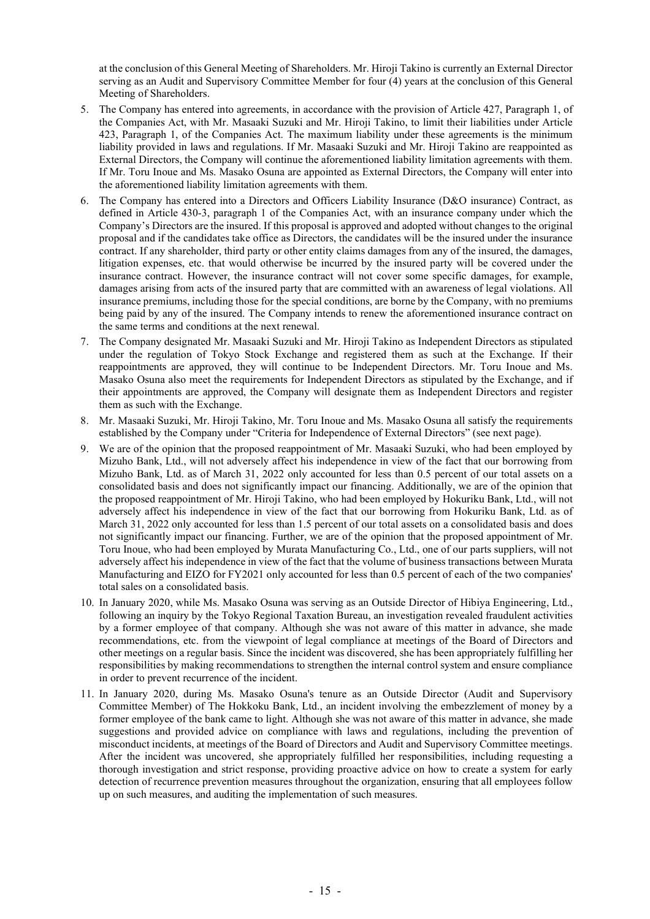at the conclusion of this General Meeting of Shareholders. Mr. Hiroji Takino is currently an External Director serving as an Audit and Supervisory Committee Member for four (4) years at the conclusion of this General Meeting of Shareholders.

- 5. The Company has entered into agreements, in accordance with the provision of Article 427, Paragraph 1, of the Companies Act, with Mr. Masaaki Suzuki and Mr. Hiroji Takino, to limit their liabilities under Article 423, Paragraph 1, of the Companies Act. The maximum liability under these agreements is the minimum liability provided in laws and regulations. If Mr. Masaaki Suzuki and Mr. Hiroji Takino are reappointed as External Directors, the Company will continue the aforementioned liability limitation agreements with them. If Mr. Toru Inoue and Ms. Masako Osuna are appointed as External Directors, the Company will enter into the aforementioned liability limitation agreements with them.
- 6. The Company has entered into a Directors and Officers Liability Insurance (D&O insurance) Contract, as defined in Article 430-3, paragraph 1 of the Companies Act, with an insurance company under which the Company's Directors are the insured. If this proposal is approved and adopted without changes to the original proposal and if the candidates take office as Directors, the candidates will be the insured under the insurance contract. If any shareholder, third party or other entity claims damages from any of the insured, the damages, litigation expenses, etc. that would otherwise be incurred by the insured party will be covered under the insurance contract. However, the insurance contract will not cover some specific damages, for example, damages arising from acts of the insured party that are committed with an awareness of legal violations. All insurance premiums, including those for the special conditions, are borne by the Company, with no premiums being paid by any of the insured. The Company intends to renew the aforementioned insurance contract on the same terms and conditions at the next renewal.
- 7. The Company designated Mr. Masaaki Suzuki and Mr. Hiroji Takino as Independent Directors as stipulated under the regulation of Tokyo Stock Exchange and registered them as such at the Exchange. If their reappointments are approved, they will continue to be Independent Directors. Mr. Toru Inoue and Ms. Masako Osuna also meet the requirements for Independent Directors as stipulated by the Exchange, and if their appointments are approved, the Company will designate them as Independent Directors and register them as such with the Exchange.
- 8. Mr. Masaaki Suzuki, Mr. Hiroji Takino, Mr. Toru Inoue and Ms. Masako Osuna all satisfy the requirements established by the Company under "Criteria for Independence of External Directors" (see next page).
- 9. We are of the opinion that the proposed reappointment of Mr. Masaaki Suzuki, who had been employed by Mizuho Bank, Ltd., will not adversely affect his independence in view of the fact that our borrowing from Mizuho Bank, Ltd. as of March 31, 2022 only accounted for less than 0.5 percent of our total assets on a consolidated basis and does not significantly impact our financing. Additionally, we are of the opinion that the proposed reappointment of Mr. Hiroji Takino, who had been employed by Hokuriku Bank, Ltd., will not adversely affect his independence in view of the fact that our borrowing from Hokuriku Bank, Ltd. as of March 31, 2022 only accounted for less than 1.5 percent of our total assets on a consolidated basis and does not significantly impact our financing. Further, we are of the opinion that the proposed appointment of Mr. Toru Inoue, who had been employed by Murata Manufacturing Co., Ltd., one of our parts suppliers, will not adversely affect his independence in view of the fact that the volume of business transactions between Murata Manufacturing and EIZO for FY2021 only accounted for less than 0.5 percent of each of the two companies' total sales on a consolidated basis.
- 10. In January 2020, while Ms. Masako Osuna was serving as an Outside Director of Hibiya Engineering, Ltd., following an inquiry by the Tokyo Regional Taxation Bureau, an investigation revealed fraudulent activities by a former employee of that company. Although she was not aware of this matter in advance, she made recommendations, etc. from the viewpoint of legal compliance at meetings of the Board of Directors and other meetings on a regular basis. Since the incident was discovered, she has been appropriately fulfilling her responsibilities by making recommendations to strengthen the internal control system and ensure compliance in order to prevent recurrence of the incident.
- 11. In January 2020, during Ms. Masako Osuna's tenure as an Outside Director (Audit and Supervisory Committee Member) of The Hokkoku Bank, Ltd., an incident involving the embezzlement of money by a former employee of the bank came to light. Although she was not aware of this matter in advance, she made suggestions and provided advice on compliance with laws and regulations, including the prevention of misconduct incidents, at meetings of the Board of Directors and Audit and Supervisory Committee meetings. After the incident was uncovered, she appropriately fulfilled her responsibilities, including requesting a thorough investigation and strict response, providing proactive advice on how to create a system for early detection of recurrence prevention measures throughout the organization, ensuring that all employees follow up on such measures, and auditing the implementation of such measures.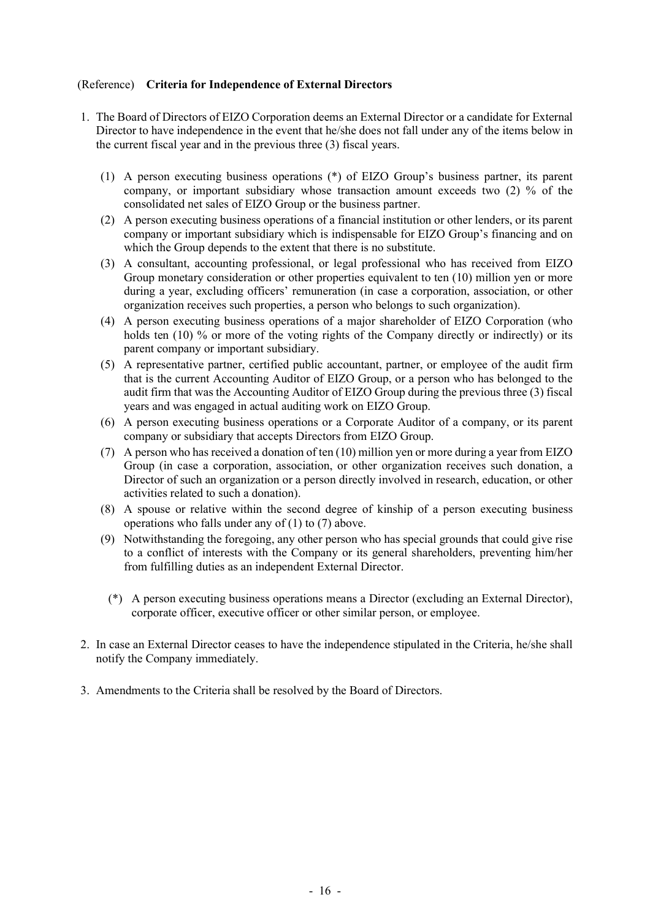### (Reference) **Criteria for Independence of External Directors**

- 1. The Board of Directors of EIZO Corporation deems an External Director or a candidate for External Director to have independence in the event that he/she does not fall under any of the items below in the current fiscal year and in the previous three (3) fiscal years.
	- (1) A person executing business operations (\*) of EIZO Group's business partner, its parent company, or important subsidiary whose transaction amount exceeds two (2) % of the consolidated net sales of EIZO Group or the business partner.
	- (2) A person executing business operations of a financial institution or other lenders, or its parent company or important subsidiary which is indispensable for EIZO Group's financing and on which the Group depends to the extent that there is no substitute.
	- (3) A consultant, accounting professional, or legal professional who has received from EIZO Group monetary consideration or other properties equivalent to ten (10) million yen or more during a year, excluding officers' remuneration (in case a corporation, association, or other organization receives such properties, a person who belongs to such organization).
	- (4) A person executing business operations of a major shareholder of EIZO Corporation (who holds ten (10) % or more of the voting rights of the Company directly or indirectly) or its parent company or important subsidiary.
	- (5) A representative partner, certified public accountant, partner, or employee of the audit firm that is the current Accounting Auditor of EIZO Group, or a person who has belonged to the audit firm that was the Accounting Auditor of EIZO Group during the previous three (3) fiscal years and was engaged in actual auditing work on EIZO Group.
	- (6) A person executing business operations or a Corporate Auditor of a company, or its parent company or subsidiary that accepts Directors from EIZO Group.
	- (7) A person who has received a donation of ten (10) million yen or more during a year from EIZO Group (in case a corporation, association, or other organization receives such donation, a Director of such an organization or a person directly involved in research, education, or other activities related to such a donation).
	- (8) A spouse or relative within the second degree of kinship of a person executing business operations who falls under any of (1) to (7) above.
	- (9) Notwithstanding the foregoing, any other person who has special grounds that could give rise to a conflict of interests with the Company or its general shareholders, preventing him/her from fulfilling duties as an independent External Director.
	- (\*) A person executing business operations means a Director (excluding an External Director), corporate officer, executive officer or other similar person, or employee.
- 2. In case an External Director ceases to have the independence stipulated in the Criteria, he/she shall notify the Company immediately.
- 3. Amendments to the Criteria shall be resolved by the Board of Directors.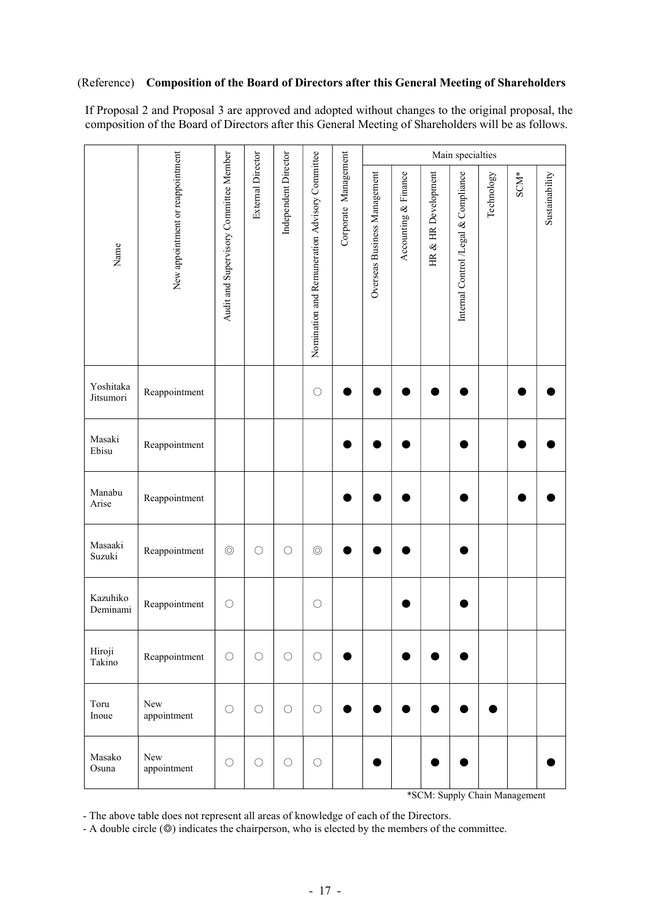#### (Reference) **Composition of the Board of Directors after this General Meeting of Shareholders**

If Proposal 2 and Proposal 3 are approved and adopted without changes to the original proposal, the composition of the Board of Directors after this General Meeting of Shareholders will be as follows.

|                        |                                  |                                        |                          |                      |                                                |                      | Main specialties             |                      |                     |                                      |            |                               |                |
|------------------------|----------------------------------|----------------------------------------|--------------------------|----------------------|------------------------------------------------|----------------------|------------------------------|----------------------|---------------------|--------------------------------------|------------|-------------------------------|----------------|
| Name                   | New appointment or reappointment | Audit and Supervisory Committee Member | <b>External Director</b> | Independent Director | Nomination and Remuneration Advisory Committee | Corporate Management | Overseas Business Management | Accounting & Finance | HR & HR Development | Internal Control /Legal & Compliance | Technology | $\mathop{\rm SCM}\nolimits^*$ | Sustainability |
| Yoshitaka<br>Jitsumori | Reappointment                    |                                        |                          |                      | O                                              |                      |                              |                      |                     |                                      |            |                               |                |
| Masaki<br>Ebisu        | Reappointment                    |                                        |                          |                      |                                                |                      |                              |                      |                     |                                      |            |                               |                |
| Manabu<br>Arise        | Reappointment                    |                                        |                          |                      |                                                |                      |                              |                      |                     |                                      |            |                               |                |
| Masaaki<br>Suzuki      | Reappointment                    | $\circledcirc$                         | $\bigcirc$               | $\bigcirc$           | $\circledcirc$                                 |                      |                              |                      |                     |                                      |            |                               |                |
| Kazuhiko<br>Deminami   | Reappointment                    | $\bigcirc$                             |                          |                      | $\bigcirc$                                     |                      |                              |                      |                     |                                      |            |                               |                |
| Hiroji<br>Takino       | Reappointment                    | $\bigcirc$                             | $\bigcirc$               | $\bigcirc$           | $\bigcirc$                                     |                      |                              |                      |                     |                                      |            |                               |                |
| Toru<br>Inoue          | New<br>appointment               | $\bigcirc$                             | $\bigcirc$               | $\bigcirc$           | $\bigcirc$                                     |                      |                              |                      |                     |                                      |            |                               |                |
| Masako<br>Osuna        | New<br>appointment               | $\bigcirc$                             | $\bigcirc$               | $\bigcirc$           | $\bigcirc$                                     |                      |                              |                      |                     |                                      |            |                               |                |

\*SCM: Supply Chain Management

- The above table does not represent all areas of knowledge of each of the Directors.

- A double circle (◎) indicates the chairperson, who is elected by the members of the committee.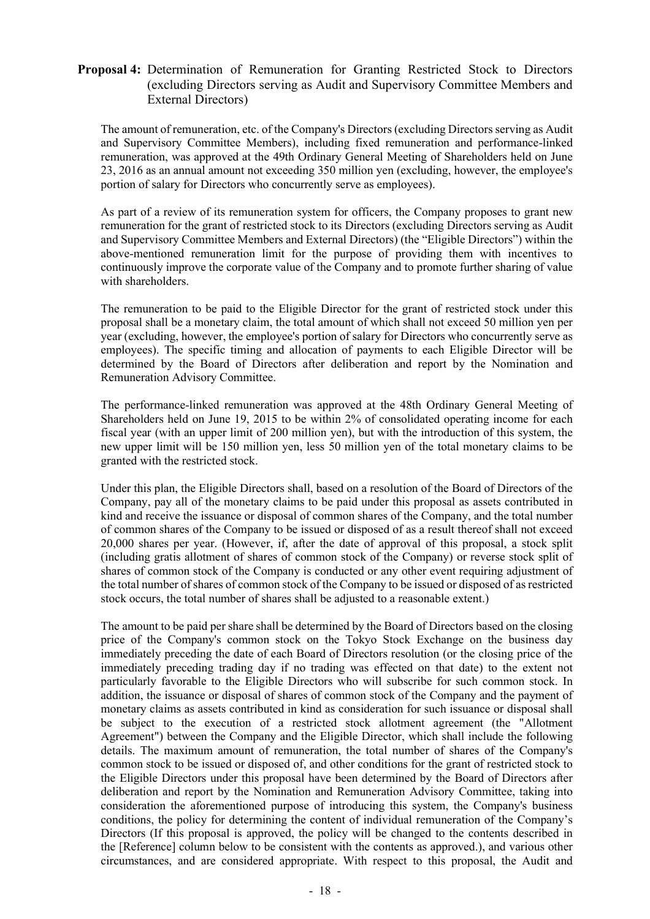### **Proposal 4:** Determination of Remuneration for Granting Restricted Stock to Directors (excluding Directors serving as Audit and Supervisory Committee Members and External Directors)

The amount of remuneration, etc. of the Company's Directors (excluding Directors serving as Audit and Supervisory Committee Members), including fixed remuneration and performance-linked remuneration, was approved at the 49th Ordinary General Meeting of Shareholders held on June 23, 2016 as an annual amount not exceeding 350 million yen (excluding, however, the employee's portion of salary for Directors who concurrently serve as employees).

As part of a review of its remuneration system for officers, the Company proposes to grant new remuneration for the grant of restricted stock to its Directors (excluding Directors serving as Audit and Supervisory Committee Members and External Directors) (the "Eligible Directors") within the above-mentioned remuneration limit for the purpose of providing them with incentives to continuously improve the corporate value of the Company and to promote further sharing of value with shareholders.

The remuneration to be paid to the Eligible Director for the grant of restricted stock under this proposal shall be a monetary claim, the total amount of which shall not exceed 50 million yen per year (excluding, however, the employee's portion of salary for Directors who concurrently serve as employees). The specific timing and allocation of payments to each Eligible Director will be determined by the Board of Directors after deliberation and report by the Nomination and Remuneration Advisory Committee.

The performance-linked remuneration was approved at the 48th Ordinary General Meeting of Shareholders held on June 19, 2015 to be within 2% of consolidated operating income for each fiscal year (with an upper limit of 200 million yen), but with the introduction of this system, the new upper limit will be 150 million yen, less 50 million yen of the total monetary claims to be granted with the restricted stock.

Under this plan, the Eligible Directors shall, based on a resolution of the Board of Directors of the Company, pay all of the monetary claims to be paid under this proposal as assets contributed in kind and receive the issuance or disposal of common shares of the Company, and the total number of common shares of the Company to be issued or disposed of as a result thereof shall not exceed 20,000 shares per year. (However, if, after the date of approval of this proposal, a stock split (including gratis allotment of shares of common stock of the Company) or reverse stock split of shares of common stock of the Company is conducted or any other event requiring adjustment of the total number of shares of common stock of the Company to be issued or disposed of as restricted stock occurs, the total number of shares shall be adjusted to a reasonable extent.)

The amount to be paid per share shall be determined by the Board of Directors based on the closing price of the Company's common stock on the Tokyo Stock Exchange on the business day immediately preceding the date of each Board of Directors resolution (or the closing price of the immediately preceding trading day if no trading was effected on that date) to the extent not particularly favorable to the Eligible Directors who will subscribe for such common stock. In addition, the issuance or disposal of shares of common stock of the Company and the payment of monetary claims as assets contributed in kind as consideration for such issuance or disposal shall be subject to the execution of a restricted stock allotment agreement (the "Allotment Agreement") between the Company and the Eligible Director, which shall include the following details. The maximum amount of remuneration, the total number of shares of the Company's common stock to be issued or disposed of, and other conditions for the grant of restricted stock to the Eligible Directors under this proposal have been determined by the Board of Directors after deliberation and report by the Nomination and Remuneration Advisory Committee, taking into consideration the aforementioned purpose of introducing this system, the Company's business conditions, the policy for determining the content of individual remuneration of the Company's Directors (If this proposal is approved, the policy will be changed to the contents described in the [Reference] column below to be consistent with the contents as approved.), and various other circumstances, and are considered appropriate. With respect to this proposal, the Audit and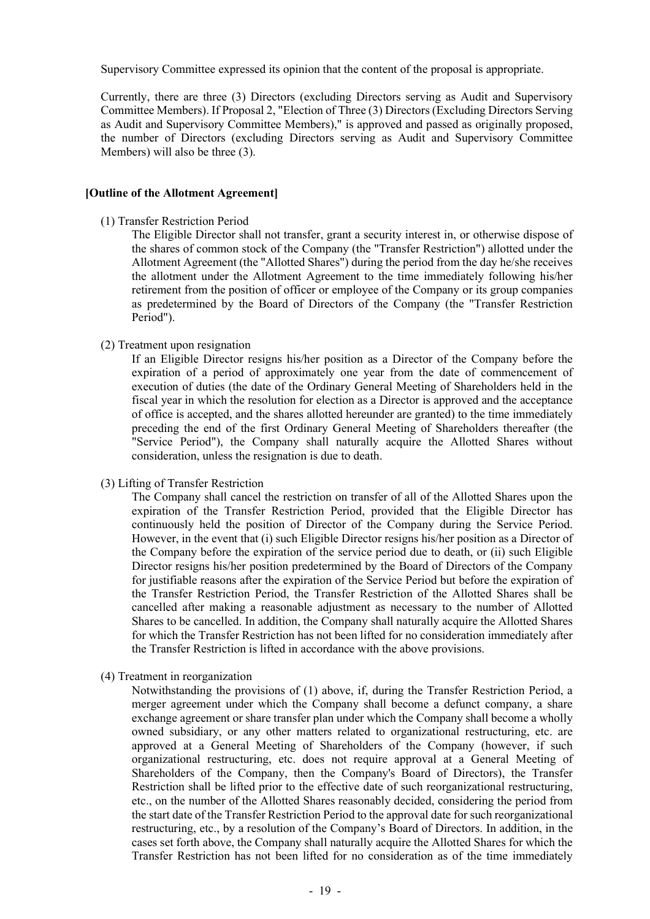Supervisory Committee expressed its opinion that the content of the proposal is appropriate.

Currently, there are three (3) Directors (excluding Directors serving as Audit and Supervisory Committee Members). If Proposal 2, "Election of Three (3) Directors (Excluding Directors Serving as Audit and Supervisory Committee Members)," is approved and passed as originally proposed, the number of Directors (excluding Directors serving as Audit and Supervisory Committee Members) will also be three (3).

#### **[Outline of the Allotment Agreement]**

(1) Transfer Restriction Period

The Eligible Director shall not transfer, grant a security interest in, or otherwise dispose of the shares of common stock of the Company (the "Transfer Restriction") allotted under the Allotment Agreement (the "Allotted Shares") during the period from the day he/she receives the allotment under the Allotment Agreement to the time immediately following his/her retirement from the position of officer or employee of the Company or its group companies as predetermined by the Board of Directors of the Company (the "Transfer Restriction Period").

(2) Treatment upon resignation

If an Eligible Director resigns his/her position as a Director of the Company before the expiration of a period of approximately one year from the date of commencement of execution of duties (the date of the Ordinary General Meeting of Shareholders held in the fiscal year in which the resolution for election as a Director is approved and the acceptance of office is accepted, and the shares allotted hereunder are granted) to the time immediately preceding the end of the first Ordinary General Meeting of Shareholders thereafter (the "Service Period"), the Company shall naturally acquire the Allotted Shares without consideration, unless the resignation is due to death.

(3) Lifting of Transfer Restriction

The Company shall cancel the restriction on transfer of all of the Allotted Shares upon the expiration of the Transfer Restriction Period, provided that the Eligible Director has continuously held the position of Director of the Company during the Service Period. However, in the event that (i) such Eligible Director resigns his/her position as a Director of the Company before the expiration of the service period due to death, or (ii) such Eligible Director resigns his/her position predetermined by the Board of Directors of the Company for justifiable reasons after the expiration of the Service Period but before the expiration of the Transfer Restriction Period, the Transfer Restriction of the Allotted Shares shall be cancelled after making a reasonable adjustment as necessary to the number of Allotted Shares to be cancelled. In addition, the Company shall naturally acquire the Allotted Shares for which the Transfer Restriction has not been lifted for no consideration immediately after the Transfer Restriction is lifted in accordance with the above provisions.

(4) Treatment in reorganization

Notwithstanding the provisions of (1) above, if, during the Transfer Restriction Period, a merger agreement under which the Company shall become a defunct company, a share exchange agreement or share transfer plan under which the Company shall become a wholly owned subsidiary, or any other matters related to organizational restructuring, etc. are approved at a General Meeting of Shareholders of the Company (however, if such organizational restructuring, etc. does not require approval at a General Meeting of Shareholders of the Company, then the Company's Board of Directors), the Transfer Restriction shall be lifted prior to the effective date of such reorganizational restructuring, etc., on the number of the Allotted Shares reasonably decided, considering the period from the start date of the Transfer Restriction Period to the approval date for such reorganizational restructuring, etc., by a resolution of the Company's Board of Directors. In addition, in the cases set forth above, the Company shall naturally acquire the Allotted Shares for which the Transfer Restriction has not been lifted for no consideration as of the time immediately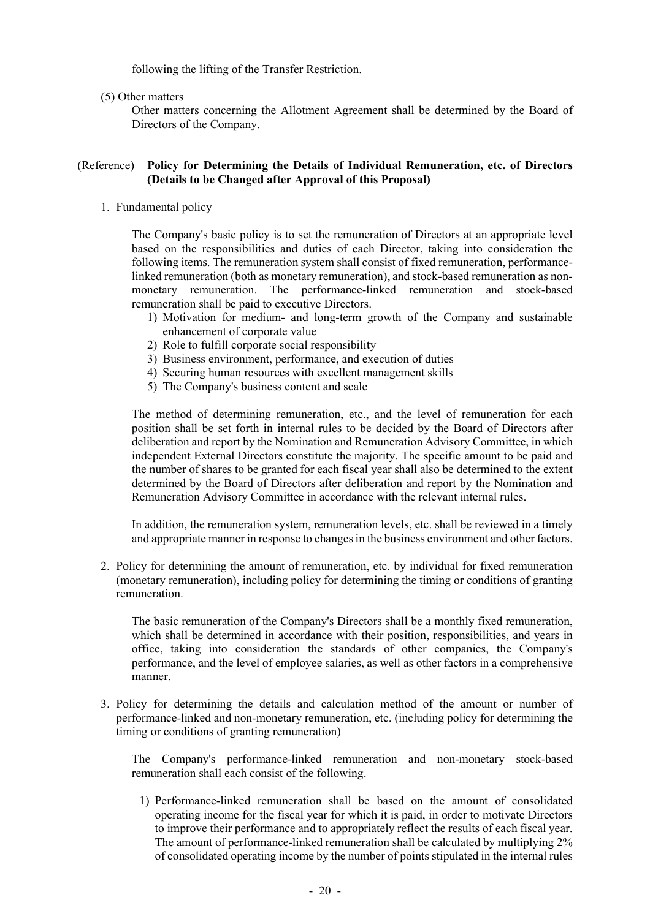following the lifting of the Transfer Restriction.

(5) Other matters

Other matters concerning the Allotment Agreement shall be determined by the Board of Directors of the Company.

### (Reference) **Policy for Determining the Details of Individual Remuneration, etc. of Directors (Details to be Changed after Approval of this Proposal)**

1. Fundamental policy

The Company's basic policy is to set the remuneration of Directors at an appropriate level based on the responsibilities and duties of each Director, taking into consideration the following items. The remuneration system shall consist of fixed remuneration, performancelinked remuneration (both as monetary remuneration), and stock-based remuneration as nonmonetary remuneration. The performance-linked remuneration and stock-based remuneration shall be paid to executive Directors.

- 1) Motivation for medium- and long-term growth of the Company and sustainable enhancement of corporate value
- 2) Role to fulfill corporate social responsibility
- 3) Business environment, performance, and execution of duties
- 4) Securing human resources with excellent management skills
- 5) The Company's business content and scale

The method of determining remuneration, etc., and the level of remuneration for each position shall be set forth in internal rules to be decided by the Board of Directors after deliberation and report by the Nomination and Remuneration Advisory Committee, in which independent External Directors constitute the majority. The specific amount to be paid and the number of shares to be granted for each fiscal year shall also be determined to the extent determined by the Board of Directors after deliberation and report by the Nomination and Remuneration Advisory Committee in accordance with the relevant internal rules.

In addition, the remuneration system, remuneration levels, etc. shall be reviewed in a timely and appropriate manner in response to changes in the business environment and other factors.

2. Policy for determining the amount of remuneration, etc. by individual for fixed remuneration (monetary remuneration), including policy for determining the timing or conditions of granting remuneration.

The basic remuneration of the Company's Directors shall be a monthly fixed remuneration, which shall be determined in accordance with their position, responsibilities, and years in office, taking into consideration the standards of other companies, the Company's performance, and the level of employee salaries, as well as other factors in a comprehensive manner.

3. Policy for determining the details and calculation method of the amount or number of performance-linked and non-monetary remuneration, etc. (including policy for determining the timing or conditions of granting remuneration)

The Company's performance-linked remuneration and non-monetary stock-based remuneration shall each consist of the following.

1) Performance-linked remuneration shall be based on the amount of consolidated operating income for the fiscal year for which it is paid, in order to motivate Directors to improve their performance and to appropriately reflect the results of each fiscal year. The amount of performance-linked remuneration shall be calculated by multiplying 2% of consolidated operating income by the number of points stipulated in the internal rules